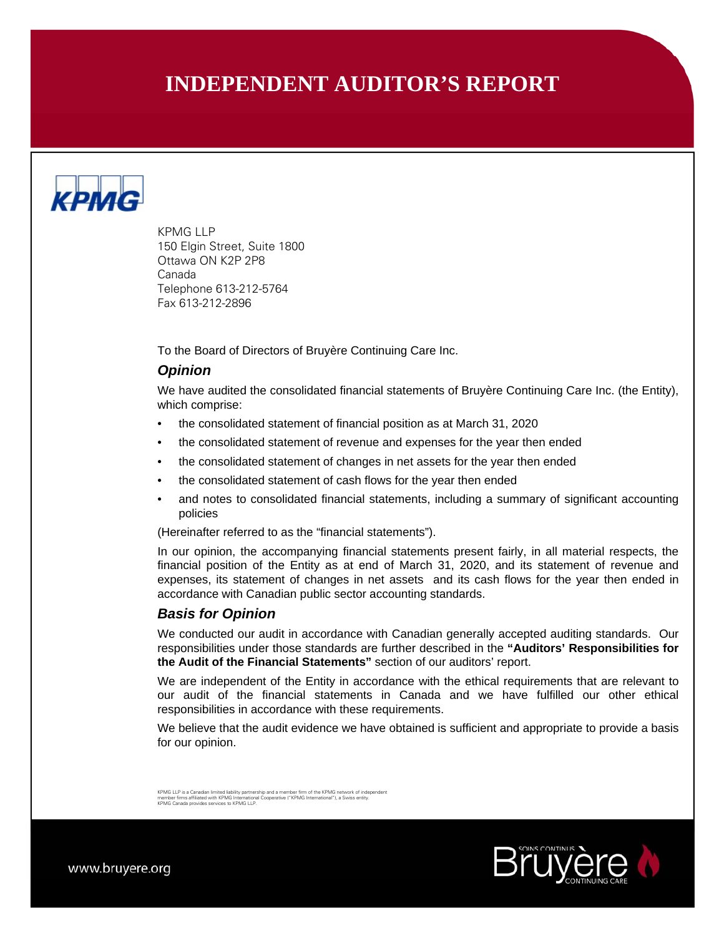# **INDEPENDENT AUDITOR'S REPORT**



KPMG LLP 150 Elgin Street, Suite 1800 Ottawa ON K2P 2P8 Canada Telephone 613-212-5764 Fax 613-212-2896

To the Board of Directors of Bruyère Continuing Care Inc.

#### *Opinion*

We have audited the consolidated financial statements of Bruyère Continuing Care Inc. (the Entity), which comprise:

- the consolidated statement of financial position as at March 31, 2020
- the consolidated statement of revenue and expenses for the year then ended
- the consolidated statement of changes in net assets for the year then ended
- the consolidated statement of cash flows for the year then ended
- and notes to consolidated financial statements, including a summary of significant accounting policies

(Hereinafter referred to as the "financial statements").

In our opinion, the accompanying financial statements present fairly, in all material respects, the financial position of the Entity as at end of March 31, 2020, and its statement of revenue and expenses, its statement of changes in net assets and its cash flows for the year then ended in accordance with Canadian public sector accounting standards.

## *Basis for Opinion*

We conducted our audit in accordance with Canadian generally accepted auditing standards. Our responsibilities under those standards are further described in the **"Auditors' Responsibilities for the Audit of the Financial Statements"** section of our auditors' report.

We are independent of the Entity in accordance with the ethical requirements that are relevant to our audit of the financial statements in Canada and we have fulfilled our other ethical responsibilities in accordance with these requirements.

We believe that the audit evidence we have obtained is sufficient and appropriate to provide a basis for our opinion.

KPMG LLP is a Canadian limited liability partnership and a member firm of the KPMG network of independent<br>member firms affiliated with KPMG International Cooperative ("KPMG International"), a Swiss entity.<br>KPMG Canada prov

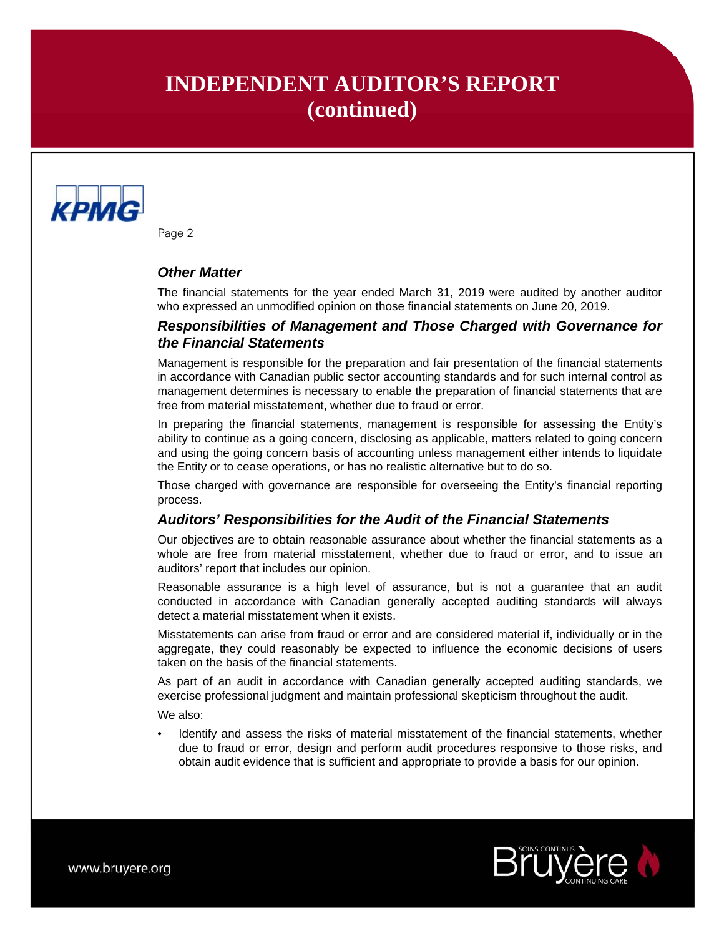# **INDEPENDENT AUDITOR'S REPORT (continued)**



Page 2

# *Other Matter*

The financial statements for the year ended March 31, 2019 were audited by another auditor who expressed an unmodified opinion on those financial statements on June 20, 2019.

# *Responsibilities of Management and Those Charged with Governance for the Financial Statements*

Management is responsible for the preparation and fair presentation of the financial statements in accordance with Canadian public sector accounting standards and for such internal control as management determines is necessary to enable the preparation of financial statements that are free from material misstatement, whether due to fraud or error.

In preparing the financial statements, management is responsible for assessing the Entity's ability to continue as a going concern, disclosing as applicable, matters related to going concern and using the going concern basis of accounting unless management either intends to liquidate the Entity or to cease operations, or has no realistic alternative but to do so.

Those charged with governance are responsible for overseeing the Entity's financial reporting process.

## *Auditors' Responsibilities for the Audit of the Financial Statements*

Our objectives are to obtain reasonable assurance about whether the financial statements as a whole are free from material misstatement, whether due to fraud or error, and to issue an auditors' report that includes our opinion.

Reasonable assurance is a high level of assurance, but is not a guarantee that an audit conducted in accordance with Canadian generally accepted auditing standards will always detect a material misstatement when it exists.

Misstatements can arise from fraud or error and are considered material if, individually or in the aggregate, they could reasonably be expected to influence the economic decisions of users taken on the basis of the financial statements.

As part of an audit in accordance with Canadian generally accepted auditing standards, we exercise professional judgment and maintain professional skepticism throughout the audit.

We also:

• Identify and assess the risks of material misstatement of the financial statements, whether due to fraud or error, design and perform audit procedures responsive to those risks, and obtain audit evidence that is sufficient and appropriate to provide a basis for our opinion.

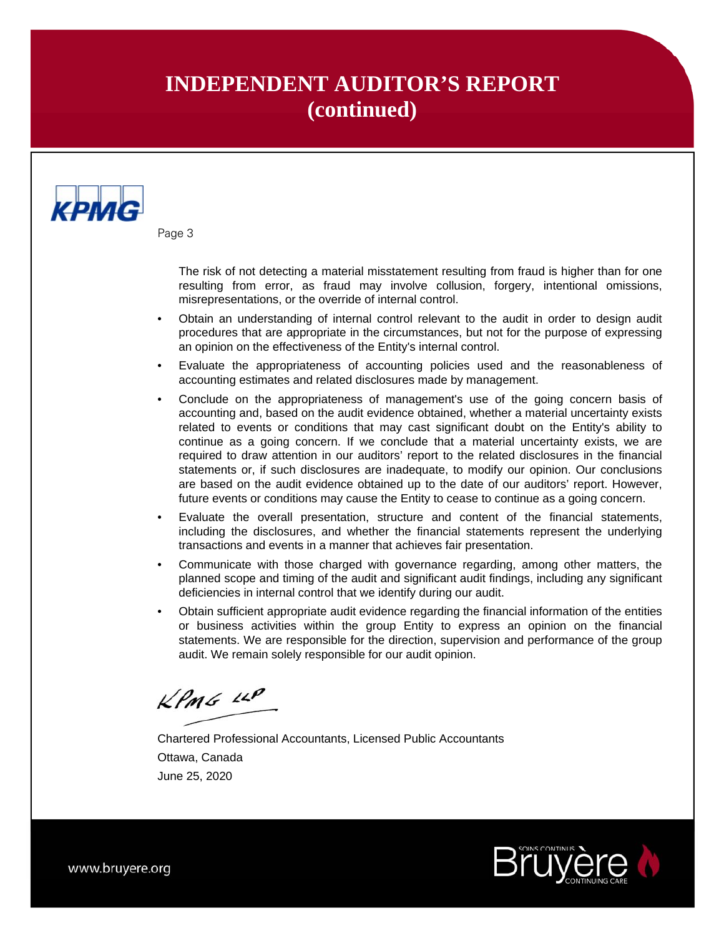# **INDEPENDENT AUDITOR'S REPORT (continued)**



Page 3

 The risk of not detecting a material misstatement resulting from fraud is higher than for one resulting from error, as fraud may involve collusion, forgery, intentional omissions, misrepresentations, or the override of internal control.

- Obtain an understanding of internal control relevant to the audit in order to design audit procedures that are appropriate in the circumstances, but not for the purpose of expressing an opinion on the effectiveness of the Entity's internal control.
- Evaluate the appropriateness of accounting policies used and the reasonableness of accounting estimates and related disclosures made by management.
- Conclude on the appropriateness of management's use of the going concern basis of accounting and, based on the audit evidence obtained, whether a material uncertainty exists related to events or conditions that may cast significant doubt on the Entity's ability to continue as a going concern. If we conclude that a material uncertainty exists, we are required to draw attention in our auditors' report to the related disclosures in the financial statements or, if such disclosures are inadequate, to modify our opinion. Our conclusions are based on the audit evidence obtained up to the date of our auditors' report. However, future events or conditions may cause the Entity to cease to continue as a going concern.
- Evaluate the overall presentation, structure and content of the financial statements, including the disclosures, and whether the financial statements represent the underlying transactions and events in a manner that achieves fair presentation.
- Communicate with those charged with governance regarding, among other matters, the planned scope and timing of the audit and significant audit findings, including any significant deficiencies in internal control that we identify during our audit.
- Obtain sufficient appropriate audit evidence regarding the financial information of the entities or business activities within the group Entity to express an opinion on the financial statements. We are responsible for the direction, supervision and performance of the group audit. We remain solely responsible for our audit opinion.

 $KPMS$  11P

Chartered Professional Accountants, Licensed Public Accountants Ottawa, Canada June 25, 2020

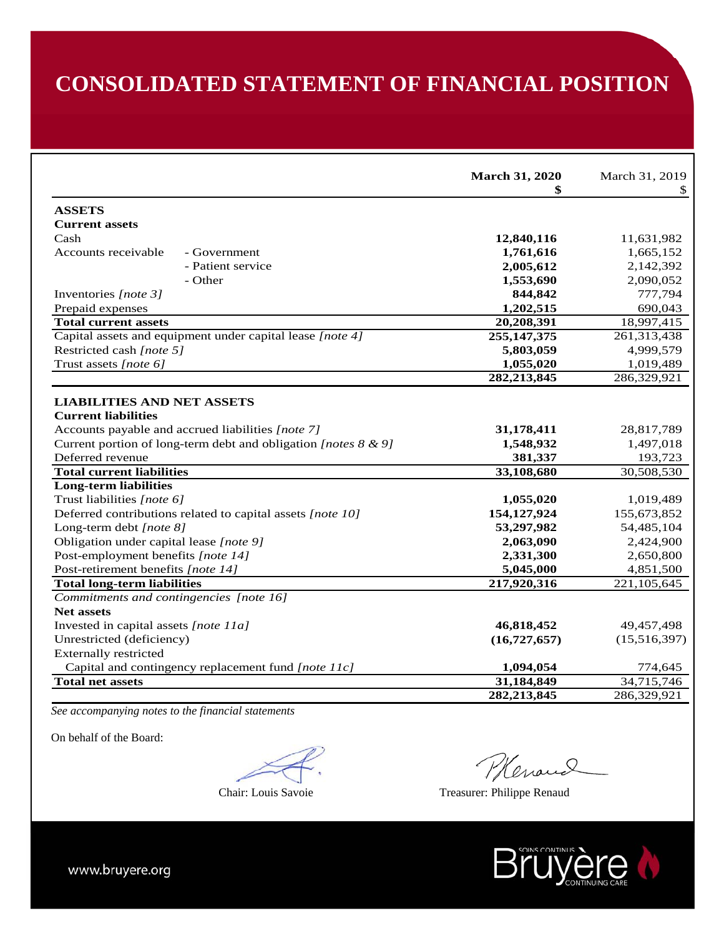# **CONSOLIDATED STATEMENT OF FINANCIAL POSITION**

|                                                                                                                      | <b>March 31, 2020</b><br>\$ | March 31, 2019<br>\$ |
|----------------------------------------------------------------------------------------------------------------------|-----------------------------|----------------------|
| <b>ASSETS</b>                                                                                                        |                             |                      |
| <b>Current assets</b>                                                                                                |                             |                      |
| Cash                                                                                                                 | 12,840,116                  | 11,631,982           |
| Accounts receivable<br>- Government                                                                                  | 1,761,616                   | 1,665,152            |
| - Patient service                                                                                                    | 2,005,612                   | 2,142,392            |
| - Other                                                                                                              | 1,553,690                   | 2,090,052            |
| Inventories [note 3]                                                                                                 | 844,842                     | 777,794              |
| Prepaid expenses                                                                                                     | 1,202,515                   | 690,043              |
| <b>Total current assets</b>                                                                                          | 20,208,391                  | 18,997,415           |
| Capital assets and equipment under capital lease [note 4]                                                            | 255, 147, 375               | 261,313,438          |
| Restricted cash [note 5]                                                                                             | 5,803,059                   | 4,999,579            |
| Trust assets [note 6]                                                                                                | 1,055,020                   | 1,019,489            |
|                                                                                                                      | 282, 213, 845               | 286,329,921          |
| <b>LIABILITIES AND NET ASSETS</b><br><b>Current liabilities</b><br>Accounts payable and accrued liabilities [note 7] | 31,178,411                  | 28,817,789           |
| Current portion of long-term debt and obligation [notes $8 \& 9$ ]                                                   | 1,548,932                   | 1,497,018            |
| Deferred revenue                                                                                                     | 381,337                     | 193,723              |
| <b>Total current liabilities</b>                                                                                     | 33,108,680                  | 30,508,530           |
| <b>Long-term liabilities</b>                                                                                         |                             |                      |
| Trust liabilities [note 6]                                                                                           | 1,055,020                   | 1,019,489            |
| Deferred contributions related to capital assets [note 10]                                                           | 154, 127, 924               | 155,673,852          |
| Long-term debt [note 8]                                                                                              | 53,297,982                  | 54,485,104           |
| Obligation under capital lease [note 9]                                                                              | 2,063,090                   | 2,424,900            |
| Post-employment benefits [note 14]                                                                                   | 2,331,300                   | 2,650,800            |
| Post-retirement benefits [note 14]                                                                                   | 5,045,000                   | 4,851,500            |
| <b>Total long-term liabilities</b>                                                                                   | 217,920,316                 | 221,105,645          |
| Commitments and contingencies [note 16]                                                                              |                             |                      |
| <b>Net assets</b>                                                                                                    |                             |                      |
| Invested in capital assets [note 11a]                                                                                | 46,818,452                  | 49,457,498           |
| Unrestricted (deficiency)                                                                                            | (16, 727, 657)              | (15,516,397)         |
| <b>Externally restricted</b>                                                                                         |                             |                      |
| Capital and contingency replacement fund [note 11c]                                                                  | 1,094,054                   | 774,645              |
| <b>Total net assets</b>                                                                                              | 31,184,849                  | 34,715,746           |
|                                                                                                                      | 282, 213, 845               | 286,329,921          |

*See accompanying notes to the financial statements* 

On behalf of the Board:

Plevaud

Chair: Louis Savoie Treasurer: Philippe Renaud

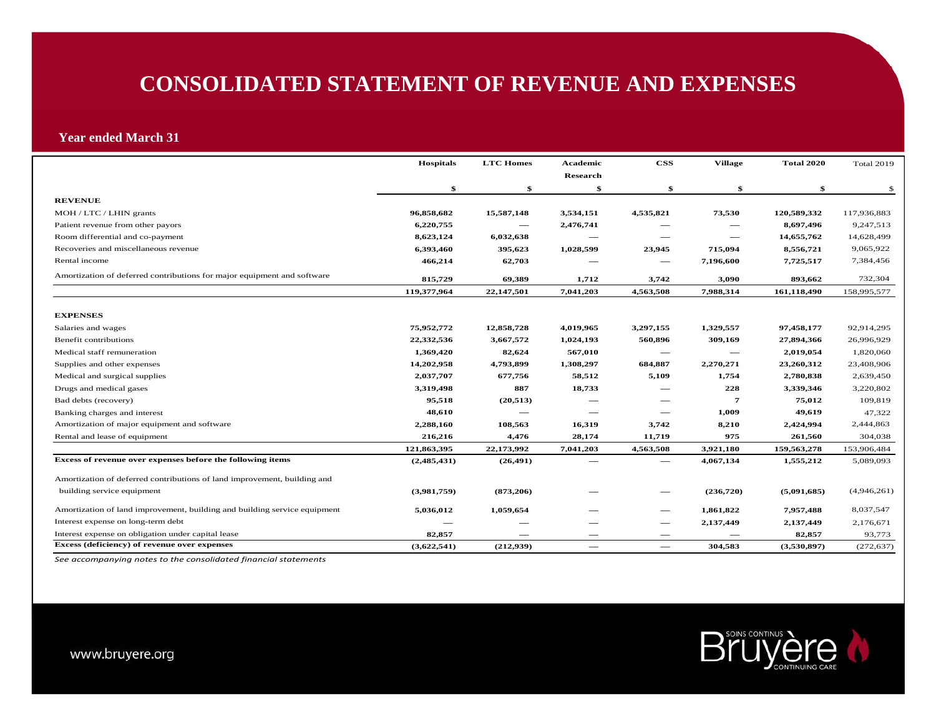# **CONSOLIDATED STATEMENT OF REVENUE AND EXPENSES**

#### **Year ended March 31**

|                                                                           | <b>Hospitals</b> | <b>LTC Homes</b> | Academic        | $\bf CSS$                       | <b>Village</b> | <b>Total 2020</b> | <b>Total 2019</b>       |
|---------------------------------------------------------------------------|------------------|------------------|-----------------|---------------------------------|----------------|-------------------|-------------------------|
|                                                                           |                  |                  | <b>Research</b> |                                 |                |                   |                         |
| <b>REVENUE</b>                                                            | \$               | \$               | \$              | \$                              | \$             | \$                | -\$                     |
| MOH / LTC / LHIN grants                                                   | 96,858,682       | 15,587,148       | 3,534,151       | 4,535,821                       | 73,530         | 120,589,332       | 117,936,883             |
|                                                                           | 6,220,755        |                  | 2,476,741       |                                 |                | 8,697,496         | 9,247,513               |
| Patient revenue from other payors                                         | 8,623,124        | 6,032,638        |                 |                                 |                | 14,655,762        |                         |
| Room differential and co-payment<br>Recoveries and miscellaneous revenue  |                  |                  |                 |                                 | –              |                   | 14,628,499<br>9,065,922 |
|                                                                           | 6,393,460        | 395,623          | 1,028,599       | 23,945                          | 715,094        | 8,556,721         |                         |
| Rental income                                                             | 466,214          | 62,703           |                 |                                 | 7,196,600      | 7,725,517         | 7,384,456               |
| Amortization of deferred contributions for major equipment and software   | 815,729          | 69,389           | 1,712           | 3,742                           | 3,090          | 893,662           | 732,304                 |
|                                                                           | 119,377,964      | 22,147,501       | 7,041,203       | 4,563,508                       | 7,988,314      | 161,118,490       | 158,995,577             |
| <b>EXPENSES</b>                                                           |                  |                  |                 |                                 |                |                   |                         |
| Salaries and wages                                                        | 75,952,772       | 12,858,728       | 4,019,965       | 3,297,155                       | 1,329,557      | 97,458,177        | 92,914,295              |
| Benefit contributions                                                     | 22,332,536       | 3,667,572        | 1,024,193       | 560,896                         | 309,169        | 27,894,366        |                         |
|                                                                           |                  |                  |                 |                                 |                |                   | 26,996,929              |
| Medical staff remuneration                                                | 1,369,420        | 82,624           | 567,010         |                                 |                | 2,019,054         | 1,820,060               |
| Supplies and other expenses                                               | 14,202,958       | 4,793,899        | 1,308,297       | 684,887                         | 2,270,271      | 23,260,312        | 23,408,906              |
| Medical and surgical supplies                                             | 2,037,707        | 677,756          | 58,512          | 5,109                           | 1,754          | 2,780,838         | 2,639,450               |
| Drugs and medical gases                                                   | 3,319,498        | 887              | 18,733          |                                 | 228            | 3,339,346         | 3,220,802               |
| Bad debts (recovery)                                                      | 95,518           | (20, 513)        |                 |                                 | $\overline{7}$ | 75,012            | 109,819                 |
| Banking charges and interest                                              | 48,610           |                  |                 |                                 | 1,009          | 49,619            | 47,322                  |
| Amortization of major equipment and software                              | 2,288,160        | 108,563          | 16,319          | 3,742                           | 8,210          | 2,424,994         | 2,444,863               |
| Rental and lease of equipment                                             | 216,216          | 4,476            | 28,174          | 11,719                          | 975            | 261,560           | 304,038                 |
|                                                                           | 121,863,395      | 22,173,992       | 7,041,203       | 4,563,508                       | 3,921,180      | 159,563,278       | 153,906,484             |
| Excess of revenue over expenses before the following items                | (2,485,431)      | (26, 491)        |                 |                                 | 4,067,134      | 1,555,212         | 5,089,093               |
| Amortization of deferred contributions of land improvement, building and  |                  |                  |                 |                                 |                |                   |                         |
| building service equipment                                                | (3,981,759)      | (873,206)        |                 |                                 | (236,720)      | (5,091,685)       | (4,946,261)             |
| Amortization of land improvement, building and building service equipment | 5,036,012        | 1,059,654        |                 | $\hspace{0.05cm}$               | 1,861,822      | 7,957,488         | 8,037,547               |
| Interest expense on long-term debt                                        |                  |                  |                 |                                 | 2,137,449      | 2,137,449         | 2,176,671               |
| Interest expense on obligation under capital lease                        | 82,857           |                  |                 |                                 |                | 82,857            | 93,773                  |
| Excess (deficiency) of revenue over expenses                              | (3,622,541)      | (212,939)        |                 | $\hspace{0.1mm}-\hspace{0.1mm}$ | 304,583        | (3,530,897)       | (272, 637)              |

*See accompanying notes to the consolidated financial statements*

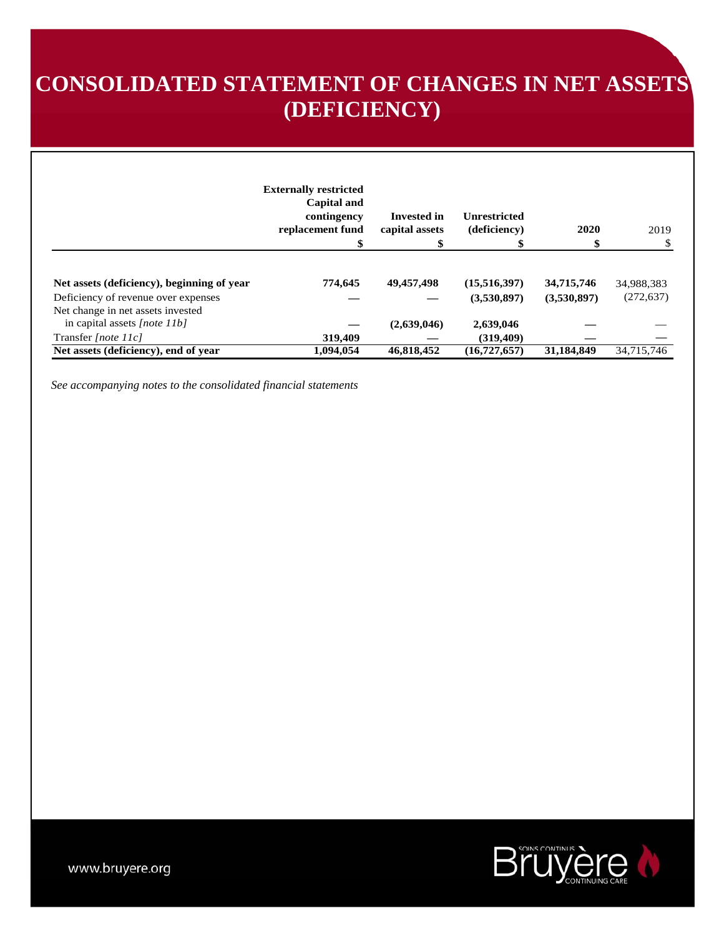# **CONSOLIDATED STATEMENT OF CHANGES IN NET ASSETS (DEFICIENCY)**

|                                                                          | <b>Externally restricted</b><br>Capital and<br>contingency<br>replacement fund | Invested in<br>capital assets | <b>Unrestricted</b><br>(deficiency) | 2020        | 2019       |
|--------------------------------------------------------------------------|--------------------------------------------------------------------------------|-------------------------------|-------------------------------------|-------------|------------|
| Net assets (deficiency), beginning of year                               | 774.645                                                                        | 49,457,498                    | (15,516,397)                        | 34,715,746  | 34,988,383 |
| Deficiency of revenue over expenses<br>Net change in net assets invested |                                                                                |                               | (3,530,897)                         | (3,530,897) | (272, 637) |
| in capital assets [note $11b$ ]                                          |                                                                                | (2,639,046)                   | 2,639,046                           |             |            |
| Transfer [note 11c]                                                      | 319,409                                                                        |                               | (319, 409)                          |             |            |
| Net assets (deficiency), end of year                                     | 1,094,054                                                                      | 46,818,452                    | (16, 727, 657)                      | 31,184,849  | 34,715,746 |

*See accompanying notes to the consolidated financial statements*

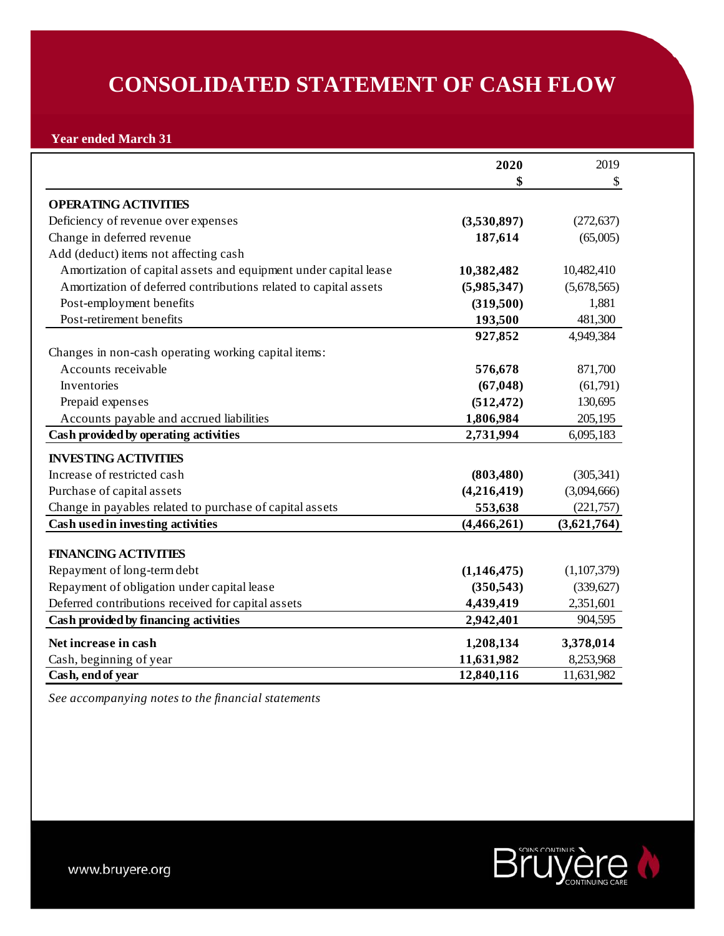# **CONSOLIDATED STATEMENT OF CASH FLOW**

# **Year ended March 31**

|                                                                  | 2020        | 2019        |
|------------------------------------------------------------------|-------------|-------------|
|                                                                  | \$          | \$          |
| <b>OPERATING ACTIVITIES</b>                                      |             |             |
| Deficiency of revenue over expenses                              | (3,530,897) | (272, 637)  |
| Change in deferred revenue                                       | 187,614     | (65,005)    |
| Add (deduct) items not affecting cash                            |             |             |
| Amortization of capital assets and equipment under capital lease | 10,382,482  | 10,482,410  |
| Amortization of deferred contributions related to capital assets | (5,985,347) | (5,678,565) |
| Post-employment benefits                                         | (319,500)   | 1,881       |
| Post-retirement benefits                                         | 193,500     | 481,300     |
|                                                                  | 927,852     | 4,949,384   |
| Changes in non-cash operating working capital items:             |             |             |
| Accounts receivable                                              | 576,678     | 871,700     |
| Inventories                                                      | (67, 048)   | (61,791)    |
| Prepaid expenses                                                 | (512, 472)  | 130,695     |
| Accounts payable and accrued liabilities                         | 1,806,984   | 205,195     |
| Cash provided by operating activities                            | 2,731,994   | 6,095,183   |
| <b>INVESTING ACTIVITIES</b>                                      |             |             |
| Increase of restricted cash                                      | (803, 480)  | (305, 341)  |
| Purchase of capital assets                                       | (4,216,419) | (3,094,666) |
| Change in payables related to purchase of capital assets         | 553,638     | (221,757)   |
| Cash used in investing activities                                | (4,466,261) | (3,621,764) |
|                                                                  |             |             |
| <b>FINANCING ACTIVITIES</b>                                      |             |             |
| Repayment of long-term debt                                      | (1,146,475) | (1,107,379) |
| Repayment of obligation under capital lease                      | (350, 543)  | (339, 627)  |
| Deferred contributions received for capital assets               | 4,439,419   | 2,351,601   |
| Cash provided by financing activities                            | 2,942,401   | 904,595     |
| Net increase in cash                                             | 1,208,134   | 3,378,014   |
| Cash, beginning of year                                          | 11,631,982  | 8,253,968   |
| Cash, end of year                                                | 12,840,116  | 11,631,982  |

*See accompanying notes to the financial statements*

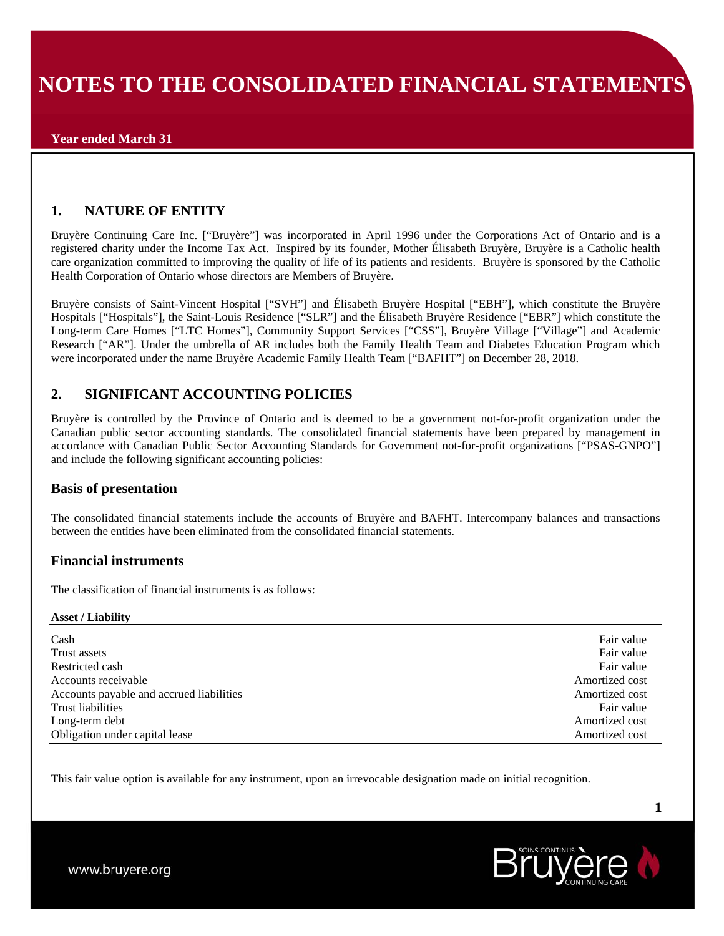### **Year ended March 31**

# **1. NATURE OF ENTITY**

Bruyère Continuing Care Inc. ["Bruyère"] was incorporated in April 1996 under the Corporations Act of Ontario and is a registered charity under the Income Tax Act. Inspired by its founder, Mother Élisabeth Bruyère, Bruyère is a Catholic health care organization committed to improving the quality of life of its patients and residents. Bruyère is sponsored by the Catholic Health Corporation of Ontario whose directors are Members of Bruyère.

Bruyère consists of Saint-Vincent Hospital ["SVH"] and Élisabeth Bruyère Hospital ["EBH"], which constitute the Bruyère Hospitals ["Hospitals"], the Saint-Louis Residence ["SLR"] and the Élisabeth Bruyère Residence ["EBR"] which constitute the Long-term Care Homes ["LTC Homes"], Community Support Services ["CSS"], Bruyère Village ["Village"] and Academic Research ["AR"]. Under the umbrella of AR includes both the Family Health Team and Diabetes Education Program which were incorporated under the name Bruyère Academic Family Health Team ["BAFHT"] on December 28, 2018.

## **2. SIGNIFICANT ACCOUNTING POLICIES**

Bruyère is controlled by the Province of Ontario and is deemed to be a government not-for-profit organization under the Canadian public sector accounting standards. The consolidated financial statements have been prepared by management in accordance with Canadian Public Sector Accounting Standards for Government not-for-profit organizations ["PSAS-GNPO"] and include the following significant accounting policies:

### **Basis of presentation**

The consolidated financial statements include the accounts of Bruyère and BAFHT. Intercompany balances and transactions between the entities have been eliminated from the consolidated financial statements.

### **Financial instruments**

The classification of financial instruments is as follows:

#### **Asset / Liability**

| Cash                                     | Fair value     |
|------------------------------------------|----------------|
| Trust assets                             | Fair value     |
| Restricted cash                          | Fair value     |
| Accounts receivable                      | Amortized cost |
| Accounts payable and accrued liabilities | Amortized cost |
| Trust liabilities                        | Fair value     |
| Long-term debt                           | Amortized cost |
| Obligation under capital lease           | Amortized cost |

This fair value option is available for any instrument, upon an irrevocable designation made on initial recognition.

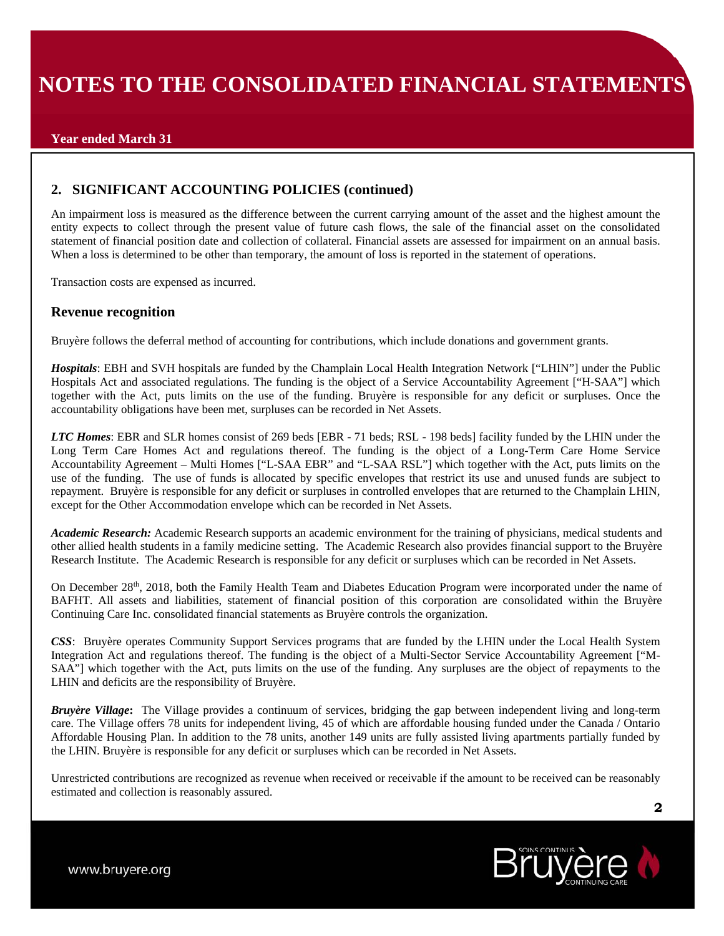# **2. SIGNIFICANT ACCOUNTING POLICIES (continued)**

An impairment loss is measured as the difference between the current carrying amount of the asset and the highest amount the entity expects to collect through the present value of future cash flows, the sale of the financial asset on the consolidated statement of financial position date and collection of collateral. Financial assets are assessed for impairment on an annual basis. When a loss is determined to be other than temporary, the amount of loss is reported in the statement of operations.

Transaction costs are expensed as incurred.

## **Revenue recognition**

Bruyère follows the deferral method of accounting for contributions, which include donations and government grants.

*Hospitals*: EBH and SVH hospitals are funded by the Champlain Local Health Integration Network ["LHIN"] under the Public Hospitals Act and associated regulations. The funding is the object of a Service Accountability Agreement ["H-SAA"] which together with the Act, puts limits on the use of the funding. Bruyère is responsible for any deficit or surpluses. Once the accountability obligations have been met, surpluses can be recorded in Net Assets.

*LTC Homes*: EBR and SLR homes consist of 269 beds [EBR - 71 beds; RSL - 198 beds] facility funded by the LHIN under the Long Term Care Homes Act and regulations thereof. The funding is the object of a Long-Term Care Home Service Accountability Agreement – Multi Homes ["L-SAA EBR" and "L-SAA RSL"] which together with the Act, puts limits on the use of the funding. The use of funds is allocated by specific envelopes that restrict its use and unused funds are subject to repayment. Bruyère is responsible for any deficit or surpluses in controlled envelopes that are returned to the Champlain LHIN, except for the Other Accommodation envelope which can be recorded in Net Assets.

*Academic Research:* Academic Research supports an academic environment for the training of physicians, medical students and other allied health students in a family medicine setting. The Academic Research also provides financial support to the Bruyère Research Institute. The Academic Research is responsible for any deficit or surpluses which can be recorded in Net Assets.

On December 28th, 2018, both the Family Health Team and Diabetes Education Program were incorporated under the name of BAFHT. All assets and liabilities, statement of financial position of this corporation are consolidated within the Bruyère Continuing Care Inc. consolidated financial statements as Bruyère controls the organization.

*CSS*: Bruyère operates Community Support Services programs that are funded by the LHIN under the Local Health System Integration Act and regulations thereof. The funding is the object of a Multi-Sector Service Accountability Agreement ["M-SAA"] which together with the Act, puts limits on the use of the funding. Any surpluses are the object of repayments to the LHIN and deficits are the responsibility of Bruyère.

*Bruyère Village***:** The Village provides a continuum of services, bridging the gap between independent living and long-term care. The Village offers 78 units for independent living, 45 of which are affordable housing funded under the Canada / Ontario Affordable Housing Plan. In addition to the 78 units, another 149 units are fully assisted living apartments partially funded by the LHIN. Bruyère is responsible for any deficit or surpluses which can be recorded in Net Assets.

Unrestricted contributions are recognized as revenue when received or receivable if the amount to be received can be reasonably estimated and collection is reasonably assured.

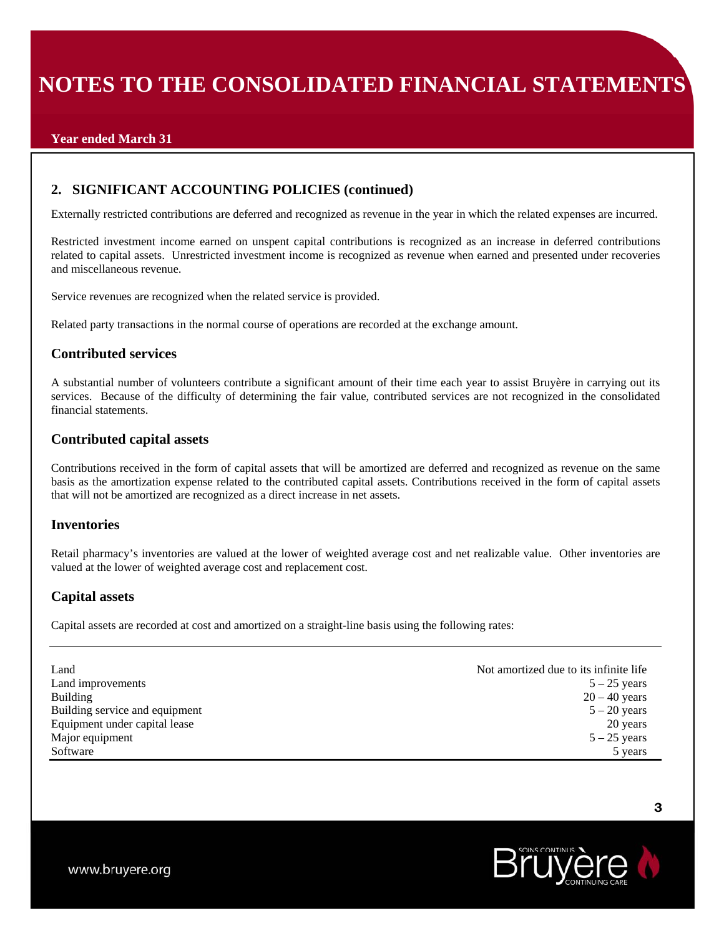## **Year ended March 31**

## **2. SIGNIFICANT ACCOUNTING POLICIES (continued)**

Externally restricted contributions are deferred and recognized as revenue in the year in which the related expenses are incurred.

Restricted investment income earned on unspent capital contributions is recognized as an increase in deferred contributions related to capital assets. Unrestricted investment income is recognized as revenue when earned and presented under recoveries and miscellaneous revenue.

Service revenues are recognized when the related service is provided.

Related party transactions in the normal course of operations are recorded at the exchange amount.

### **Contributed services**

A substantial number of volunteers contribute a significant amount of their time each year to assist Bruyère in carrying out its services. Because of the difficulty of determining the fair value, contributed services are not recognized in the consolidated financial statements.

### **Contributed capital assets**

Contributions received in the form of capital assets that will be amortized are deferred and recognized as revenue on the same basis as the amortization expense related to the contributed capital assets. Contributions received in the form of capital assets that will not be amortized are recognized as a direct increase in net assets.

#### **Inventories**

Retail pharmacy's inventories are valued at the lower of weighted average cost and net realizable value. Other inventories are valued at the lower of weighted average cost and replacement cost.

### **Capital assets**

Capital assets are recorded at cost and amortized on a straight-line basis using the following rates:

| Land                           | Not amortized due to its infinite life. |
|--------------------------------|-----------------------------------------|
| Land improvements              | $5 - 25$ years                          |
| <b>Building</b>                | $20 - 40$ years                         |
| Building service and equipment | $5 - 20$ years                          |
| Equipment under capital lease  | 20 years                                |
| Major equipment                | $5 - 25$ years                          |
| Software                       | 5 years                                 |

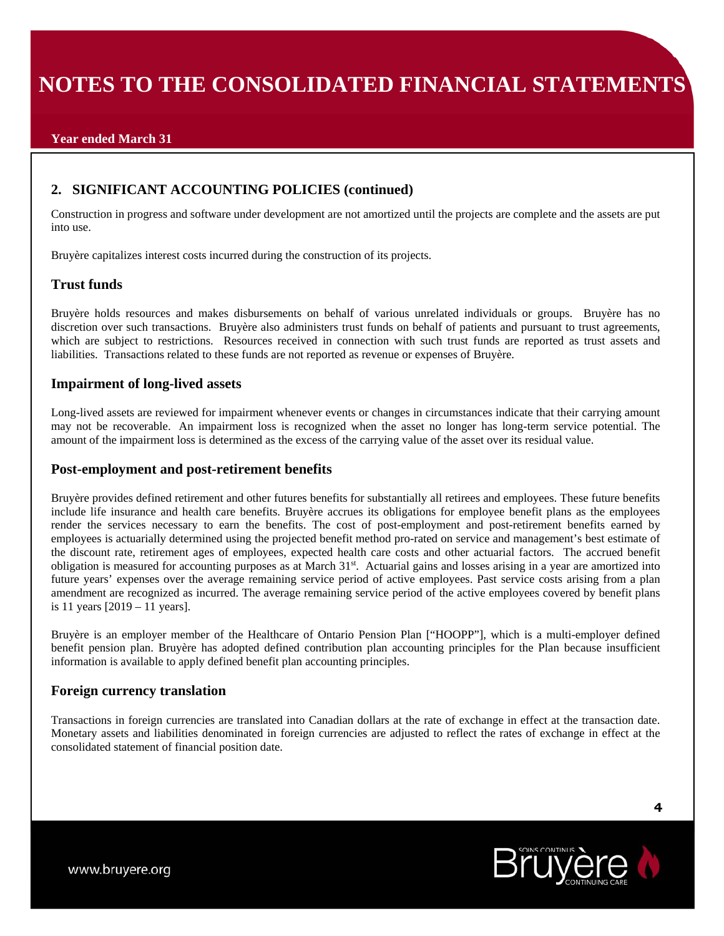# **2. SIGNIFICANT ACCOUNTING POLICIES (continued)**

Construction in progress and software under development are not amortized until the projects are complete and the assets are put into use.

Bruyère capitalizes interest costs incurred during the construction of its projects.

### **Trust funds**

Bruyère holds resources and makes disbursements on behalf of various unrelated individuals or groups. Bruyère has no discretion over such transactions. Bruyère also administers trust funds on behalf of patients and pursuant to trust agreements, which are subject to restrictions. Resources received in connection with such trust funds are reported as trust assets and liabilities. Transactions related to these funds are not reported as revenue or expenses of Bruyère.

## **Impairment of long-lived assets**

Long-lived assets are reviewed for impairment whenever events or changes in circumstances indicate that their carrying amount may not be recoverable. An impairment loss is recognized when the asset no longer has long-term service potential. The amount of the impairment loss is determined as the excess of the carrying value of the asset over its residual value.

### **Post-employment and post-retirement benefits**

Bruyère provides defined retirement and other futures benefits for substantially all retirees and employees. These future benefits include life insurance and health care benefits. Bruyère accrues its obligations for employee benefit plans as the employees render the services necessary to earn the benefits. The cost of post-employment and post-retirement benefits earned by employees is actuarially determined using the projected benefit method pro-rated on service and management's best estimate of the discount rate, retirement ages of employees, expected health care costs and other actuarial factors. The accrued benefit obligation is measured for accounting purposes as at March 31st. Actuarial gains and losses arising in a year are amortized into future years' expenses over the average remaining service period of active employees. Past service costs arising from a plan amendment are recognized as incurred. The average remaining service period of the active employees covered by benefit plans is 11 years [2019 – 11 years].

Bruyère is an employer member of the Healthcare of Ontario Pension Plan ["HOOPP"], which is a multi-employer defined benefit pension plan. Bruyère has adopted defined contribution plan accounting principles for the Plan because insufficient information is available to apply defined benefit plan accounting principles.

### **Foreign currency translation**

Transactions in foreign currencies are translated into Canadian dollars at the rate of exchange in effect at the transaction date. Monetary assets and liabilities denominated in foreign currencies are adjusted to reflect the rates of exchange in effect at the consolidated statement of financial position date.

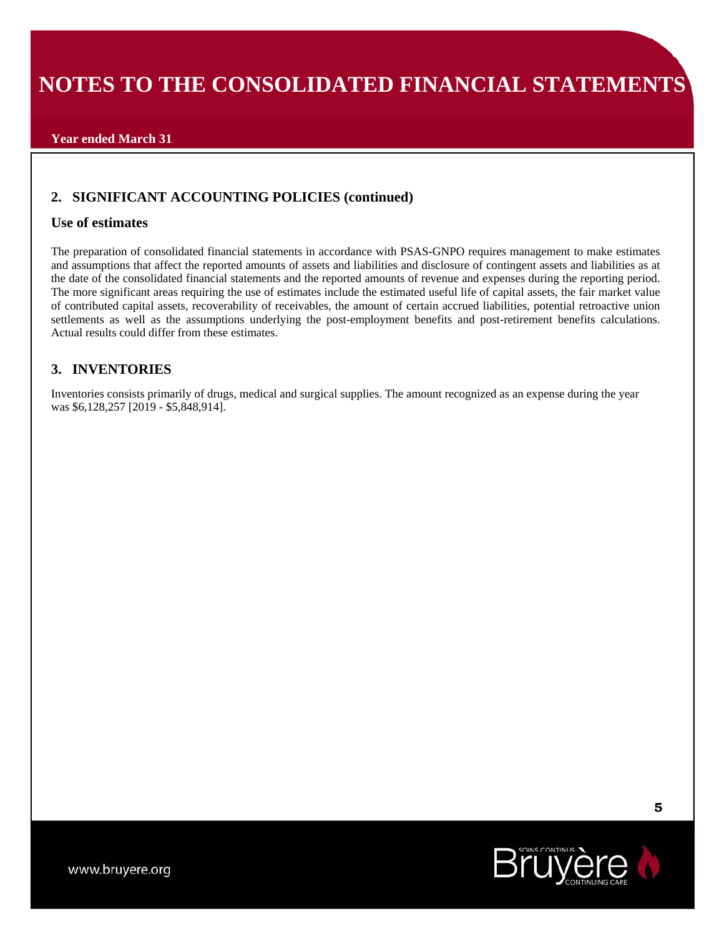## **Year ended March 31**

# **2. SIGNIFICANT ACCOUNTING POLICIES (continued)**

### **Use of estimates**

The preparation of consolidated financial statements in accordance with PSAS-GNPO requires management to make estimates and assumptions that affect the reported amounts of assets and liabilities and disclosure of contingent assets and liabilities as at the date of the consolidated financial statements and the reported amounts of revenue and expenses during the reporting period. The more significant areas requiring the use of estimates include the estimated useful life of capital assets, the fair market value of contributed capital assets, recoverability of receivables, the amount of certain accrued liabilities, potential retroactive union settlements as well as the assumptions underlying the post-employment benefits and post-retirement benefits calculations. Actual results could differ from these estimates.

## **3. INVENTORIES**

Inventories consists primarily of drugs, medical and surgical supplies. The amount recognized as an expense during the year was \$6,128,257 [2019 - \$5,848,914].

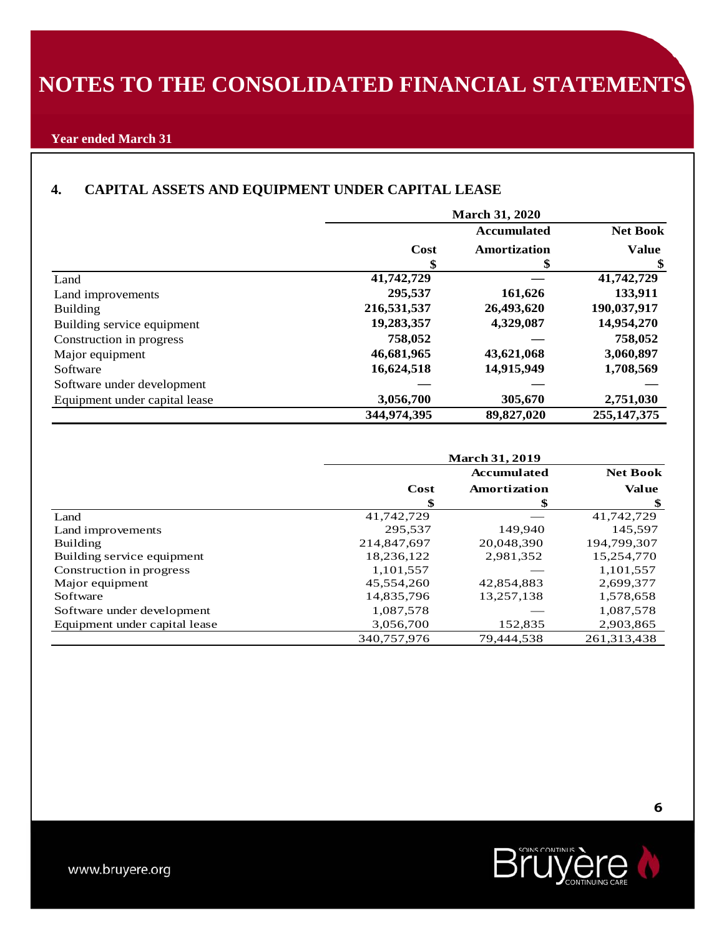## **Year ended March 31**

# **4. CAPITAL ASSETS AND EQUIPMENT UNDER CAPITAL LEASE**

|                               |             | <b>March 31, 2020</b> |                 |
|-------------------------------|-------------|-----------------------|-----------------|
|                               |             | <b>Accumulated</b>    | <b>Net Book</b> |
|                               | Cost        | Amortization          | <b>Value</b>    |
|                               | \$          | ъ                     | \$              |
| Land                          | 41,742,729  |                       | 41,742,729      |
| Land improvements             | 295,537     | 161,626               | 133,911         |
| <b>Building</b>               | 216,531,537 | 26,493,620            | 190,037,917     |
| Building service equipment    | 19,283,357  | 4,329,087             | 14,954,270      |
| Construction in progress      | 758,052     |                       | 758,052         |
| Major equipment               | 46,681,965  | 43,621,068            | 3,060,897       |
| Software                      | 16,624,518  | 14,915,949            | 1,708,569       |
| Software under development    |             |                       |                 |
| Equipment under capital lease | 3,056,700   | 305,670               | 2,751,030       |
|                               | 344,974,395 | 89,827,020            | 255, 147, 375   |

|                               |             | <b>March 31, 2019</b> |                 |
|-------------------------------|-------------|-----------------------|-----------------|
|                               |             | <b>Accumulated</b>    | <b>Net Book</b> |
|                               | Cost        | Amortization          | <b>Value</b>    |
|                               | \$          | \$                    | \$              |
| Land                          | 41,742,729  |                       | 41,742,729      |
| Land improvements             | 295.537     | 149.940               | 145.597         |
| Building                      | 214,847,697 | 20,048,390            | 194,799,307     |
| Building service equipment    | 18,236,122  | 2,981,352             | 15,254,770      |
| Construction in progress      | 1,101,557   |                       | 1,101,557       |
| Major equipment               | 45,554,260  | 42,854,883            | 2,699,377       |
| Software                      | 14,835,796  | 13,257,138            | 1,578,658       |
| Software under development    | 1,087,578   |                       | 1,087,578       |
| Equipment under capital lease | 3,056,700   | 152,835               | 2,903,865       |
|                               | 340.757.976 | 79.444.538            | 261,313,438     |

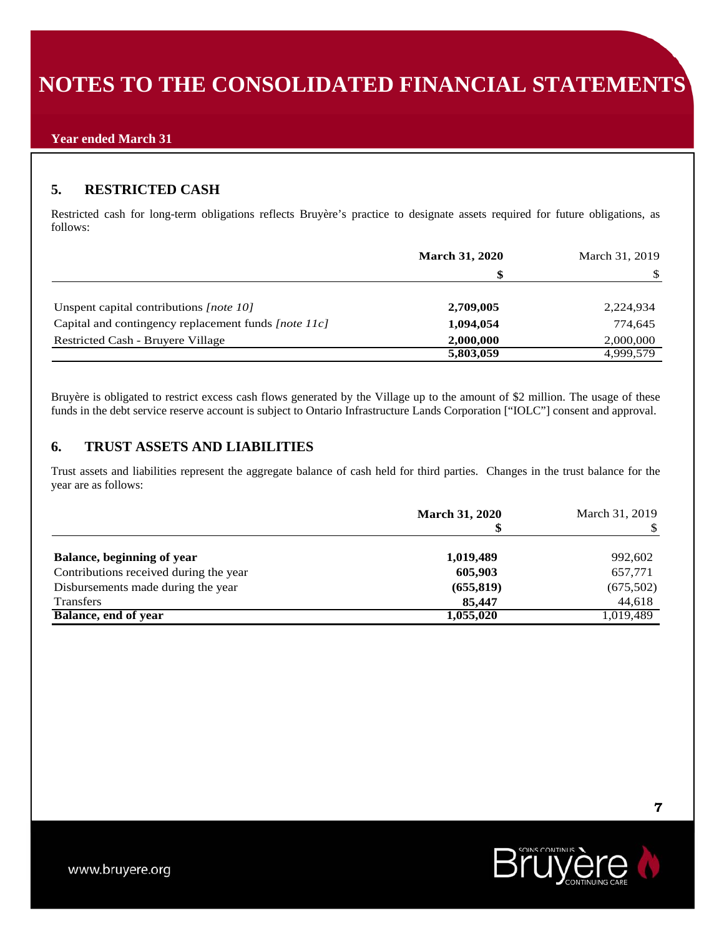# **5. RESTRICTED CASH**

Restricted cash for long-term obligations reflects Bruyère's practice to designate assets required for future obligations, as follows:

|                                                      | <b>March 31, 2020</b> | March 31, 2019 |
|------------------------------------------------------|-----------------------|----------------|
|                                                      | S                     |                |
| Unspent capital contributions [note 10]              | 2,709,005             | 2,224,934      |
| Capital and contingency replacement funds [note 11c] | 1,094,054             | 774,645        |
| Restricted Cash - Bruyere Village                    | 2,000,000             | 2,000,000      |
|                                                      | 5,803,059             | 4,999,579      |

Bruyère is obligated to restrict excess cash flows generated by the Village up to the amount of \$2 million. The usage of these funds in the debt service reserve account is subject to Ontario Infrastructure Lands Corporation ["IOLC"] consent and approval.

# **6. TRUST ASSETS AND LIABILITIES**

Trust assets and liabilities represent the aggregate balance of cash held for third parties. Changes in the trust balance for the year are as follows:

|                                        | <b>March 31, 2020</b> | March 31, 2019 |
|----------------------------------------|-----------------------|----------------|
| Balance, beginning of year             | 1,019,489             | 992,602        |
| Contributions received during the year | 605,903               | 657,771        |
| Disbursements made during the year     | (655, 819)            | (675,502)      |
| <b>Transfers</b>                       | 85,447                | 44,618         |
| Balance, end of year                   | 1,055,020             | 1,019,489      |

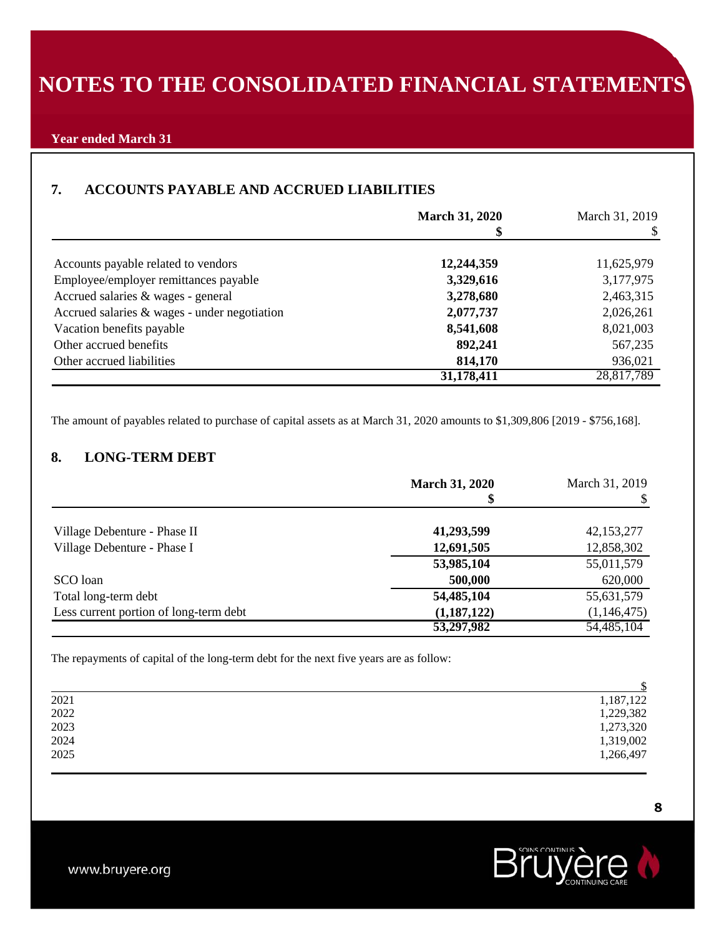## **Year ended March 31**

# **7. ACCOUNTS PAYABLE AND ACCRUED LIABILITIES**

|                                                | <b>March 31, 2020</b> | March 31, 2019 |
|------------------------------------------------|-----------------------|----------------|
|                                                |                       |                |
| Accounts payable related to vendors            | 12,244,359            | 11,625,979     |
| Employee/employer remittances payable          | 3,329,616             | 3,177,975      |
| Accrued salaries & wages - general             | 3,278,680             | 2,463,315      |
| Accrued salaries $&$ wages - under negotiation | 2,077,737             | 2,026,261      |
| Vacation benefits payable                      | 8,541,608             | 8,021,003      |
| Other accrued benefits                         | 892,241               | 567,235        |
| Other accrued liabilities                      | 814,170               | 936,021        |
|                                                | 31,178,411            | 28,817,789     |

The amount of payables related to purchase of capital assets as at March 31, 2020 amounts to \$1,309,806 [2019 - \$756,168].

# **8. LONG-TERM DEBT**

|                                        | <b>March 31, 2020</b> | March 31, 2019 |
|----------------------------------------|-----------------------|----------------|
|                                        |                       |                |
| Village Debenture - Phase II           | 41,293,599            | 42,153,277     |
| Village Debenture - Phase I            | 12,691,505            | 12,858,302     |
|                                        | 53,985,104            | 55,011,579     |
| SCO loan                               | 500,000               | 620,000        |
| Total long-term debt                   | 54,485,104            | 55,631,579     |
| Less current portion of long-term debt | (1,187,122)           | (1,146,475)    |
|                                        | 53,297,982            | 54,485,104     |

The repayments of capital of the long-term debt for the next five years are as follow:

|                                             | ¢         |
|---------------------------------------------|-----------|
| 2021                                        | 1,187,122 |
| 2022                                        | 1,229,382 |
|                                             | 1,273,320 |
| $\begin{array}{c} 2023 \\ 2024 \end{array}$ | 1,319,002 |
| 2025                                        | 1,266,497 |
|                                             |           |

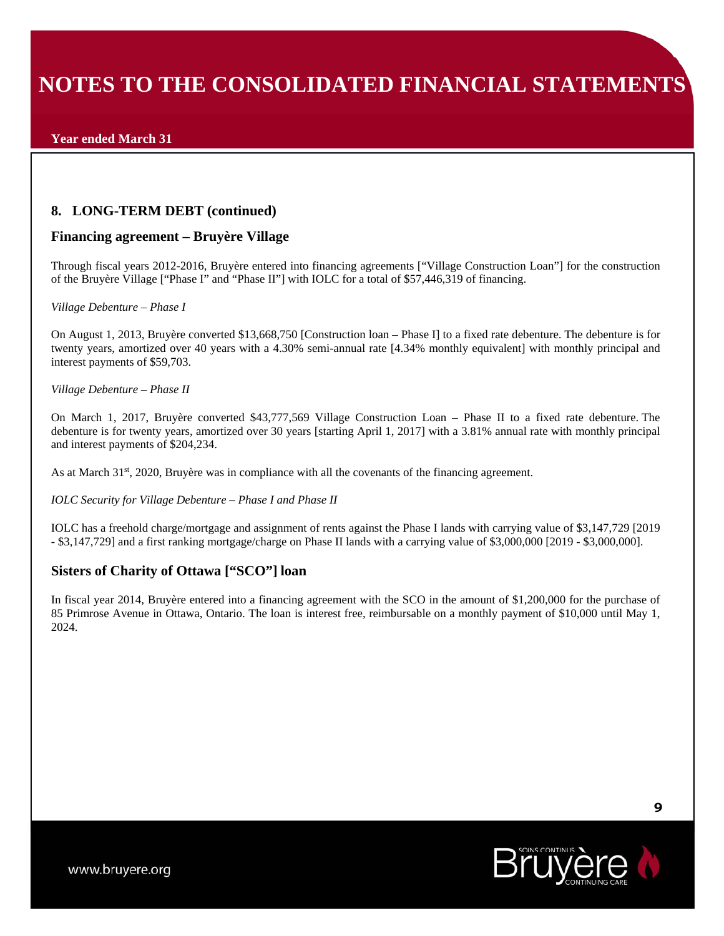### **Year ended March 31**

## **8. LONG-TERM DEBT (continued)**

## **Financing agreement – Bruyère Village**

Through fiscal years 2012-2016, Bruyère entered into financing agreements ["Village Construction Loan"] for the construction of the Bruyère Village ["Phase I" and "Phase II"] with IOLC for a total of \$57,446,319 of financing.

#### *Village Debenture – Phase I*

On August 1, 2013, Bruyère converted \$13,668,750 [Construction loan – Phase I] to a fixed rate debenture. The debenture is for twenty years, amortized over 40 years with a 4.30% semi-annual rate [4.34% monthly equivalent] with monthly principal and interest payments of \$59,703.

#### *Village Debenture – Phase II*

On March 1, 2017, Bruyère converted \$43,777,569 Village Construction Loan – Phase II to a fixed rate debenture. The debenture is for twenty years, amortized over 30 years [starting April 1, 2017] with a 3.81% annual rate with monthly principal and interest payments of \$204,234.

As at March 31<sup>st</sup>, 2020, Bruyère was in compliance with all the covenants of the financing agreement.

#### *IOLC Security for Village Debenture – Phase I and Phase II*

IOLC has a freehold charge/mortgage and assignment of rents against the Phase I lands with carrying value of \$3,147,729 [2019 - \$3,147,729] and a first ranking mortgage/charge on Phase II lands with a carrying value of \$3,000,000 [2019 - \$3,000,000].

## **Sisters of Charity of Ottawa ["SCO"] loan**

In fiscal year 2014, Bruyère entered into a financing agreement with the SCO in the amount of \$1,200,000 for the purchase of 85 Primrose Avenue in Ottawa, Ontario. The loan is interest free, reimbursable on a monthly payment of \$10,000 until May 1, 2024.

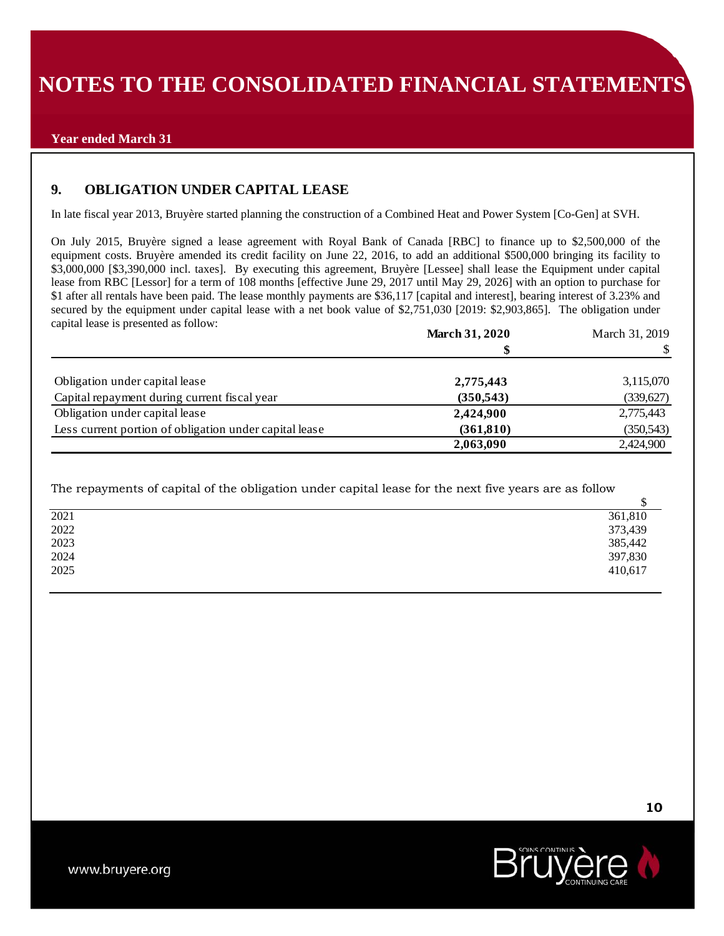### **Year ended March 31**

## **9. OBLIGATION UNDER CAPITAL LEASE**

In late fiscal year 2013, Bruyère started planning the construction of a Combined Heat and Power System [Co-Gen] at SVH.

On July 2015, Bruyère signed a lease agreement with Royal Bank of Canada [RBC] to finance up to \$2,500,000 of the equipment costs. Bruyère amended its credit facility on June 22, 2016, to add an additional \$500,000 bringing its facility to \$3,000,000 [\$3,390,000 incl. taxes]. By executing this agreement, Bruyère [Lessee] shall lease the Equipment under capital lease from RBC [Lessor] for a term of 108 months [effective June 29, 2017 until May 29, 2026] with an option to purchase for \$1 after all rentals have been paid. The lease monthly payments are \$36,117 [capital and interest], bearing interest of 3.23% and secured by the equipment under capital lease with a net book value of \$2,751,030 [2019: \$2,903,865]. The obligation under capital lease is presented as follow:

|                                                        | <b>March 31, 2020</b> | March 31, 2019 |
|--------------------------------------------------------|-----------------------|----------------|
|                                                        |                       |                |
| Obligation under capital lease                         | 2,775,443             | 3,115,070      |
| Capital repayment during current fiscal year           | (350, 543)            | (339, 627)     |
| Obligation under capital lease                         | 2,424,900             | 2,775,443      |
| Less current portion of obligation under capital lease | (361, 810)            | (350, 543)     |
|                                                        | 2,063,090             | 2.424,900      |

The repayments of capital of the obligation under capital lease for the next five years are as follow

| 2021 | 361,810 |
|------|---------|
| 2022 | 373,439 |
| 2023 | 385,442 |
| 2024 | 397,830 |
| 2025 | 410,617 |

**10** 

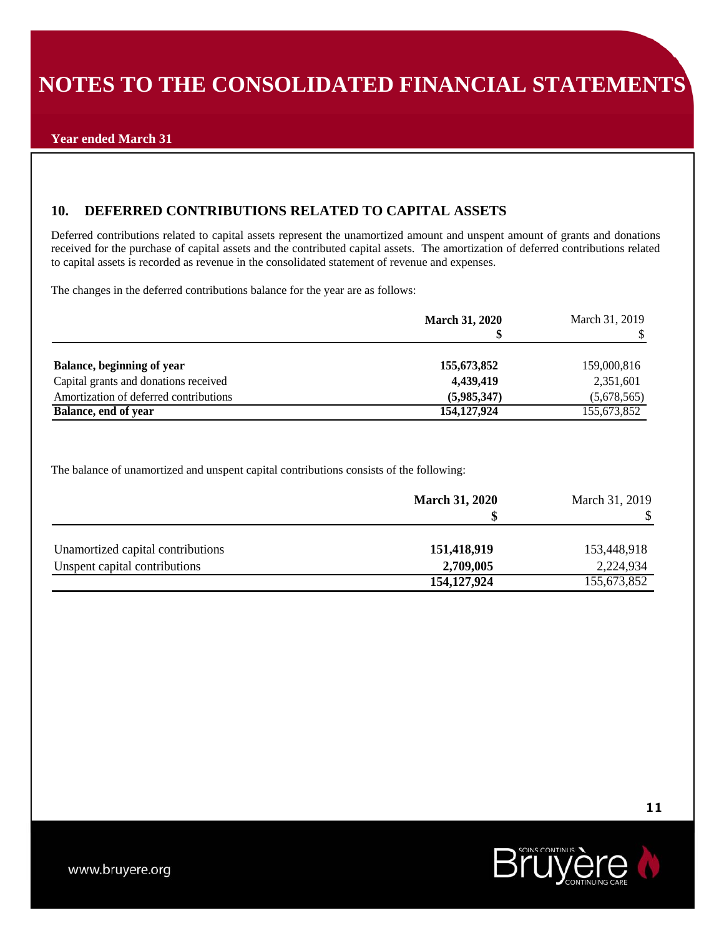## **Year ended March 31**

# **10. DEFERRED CONTRIBUTIONS RELATED TO CAPITAL ASSETS**

Deferred contributions related to capital assets represent the unamortized amount and unspent amount of grants and donations received for the purchase of capital assets and the contributed capital assets. The amortization of deferred contributions related to capital assets is recorded as revenue in the consolidated statement of revenue and expenses.

The changes in the deferred contributions balance for the year are as follows:

|                                        | <b>March 31, 2020</b> | March 31, 2019 |
|----------------------------------------|-----------------------|----------------|
|                                        |                       |                |
| Balance, beginning of year             | 155,673,852           | 159,000,816    |
| Capital grants and donations received  | 4,439,419             | 2,351,601      |
| Amortization of deferred contributions | (5,985,347)           | (5,678,565)    |
| Balance, end of year                   | 154, 127, 924         | 155,673,852    |

The balance of unamortized and unspent capital contributions consists of the following:

|                                   | <b>March 31, 2020</b> | March 31, 2019 |
|-----------------------------------|-----------------------|----------------|
|                                   |                       |                |
| Unamortized capital contributions | 151,418,919           | 153,448,918    |
| Unspent capital contributions     | 2,709,005             | 2,224,934      |
|                                   | 154, 127, 924         | 155,673,852    |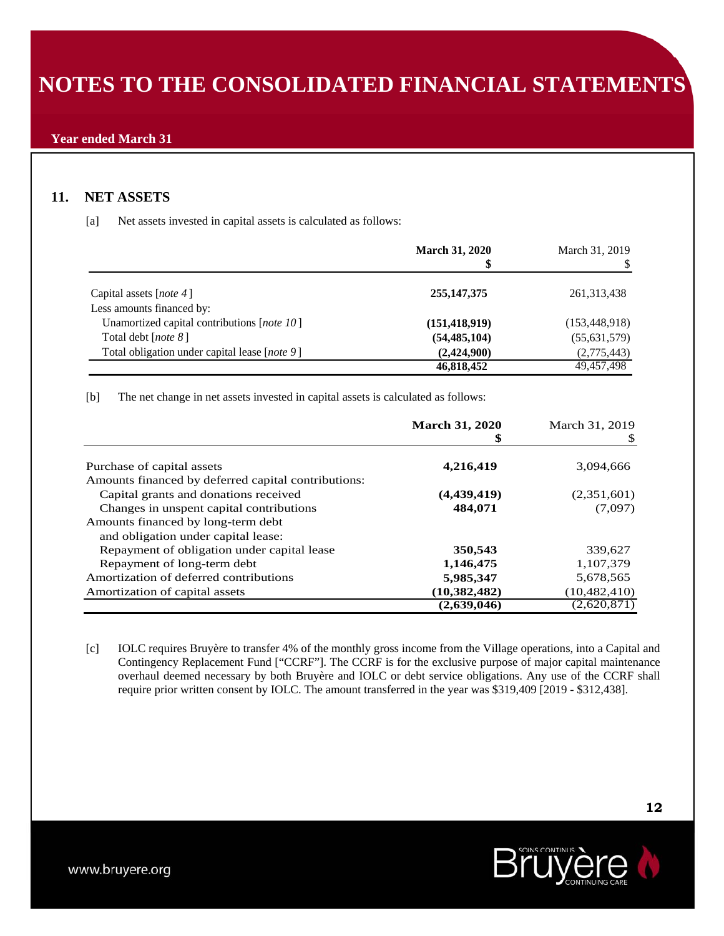# **11. NET ASSETS**

[a] Net assets invested in capital assets is calculated as follows:

|                                               | <b>March 31, 2020</b> | March 31, 2019  |
|-----------------------------------------------|-----------------------|-----------------|
| Capital assets [ <i>note 4</i> ]              | 255, 147, 375         | 261, 313, 438   |
| Less amounts financed by:                     |                       |                 |
| Unamortized capital contributions [note 10]   | (151, 418, 919)       | (153, 448, 918) |
| Total debt [ <i>note 8</i> ]                  | (54, 485, 104)        | (55,631,579)    |
| Total obligation under capital lease [note 9] | (2,424,900)           | (2,775,443)     |
|                                               | 46,818,452            | 49,457,498      |

[b] The net change in net assets invested in capital assets is calculated as follows:

|                                                     | <b>March 31, 2020</b> | March 31, 2019 |
|-----------------------------------------------------|-----------------------|----------------|
|                                                     |                       |                |
| Purchase of capital assets                          | 4,216,419             | 3,094,666      |
| Amounts financed by deferred capital contributions: |                       |                |
| Capital grants and donations received               | (4,439,419)           | (2,351,601)    |
| Changes in unspent capital contributions            | 484,071               | (7,097)        |
| Amounts financed by long-term debt                  |                       |                |
| and obligation under capital lease:                 |                       |                |
| Repayment of obligation under capital lease         | 350,543               | 339,627        |
| Repayment of long-term debt                         | 1,146,475             | 1,107,379      |
| Amortization of deferred contributions              | 5,985,347             | 5,678,565      |
| Amortization of capital assets                      | (10, 382, 482)        | (10, 482, 410) |
|                                                     | (2,639,046)           | (2,620,871)    |

[c] IOLC requires Bruyère to transfer 4% of the monthly gross income from the Village operations, into a Capital and Contingency Replacement Fund ["CCRF"]. The CCRF is for the exclusive purpose of major capital maintenance overhaul deemed necessary by both Bruyère and IOLC or debt service obligations. Any use of the CCRF shall require prior written consent by IOLC. The amount transferred in the year was \$319,409 [2019 - \$312,438].

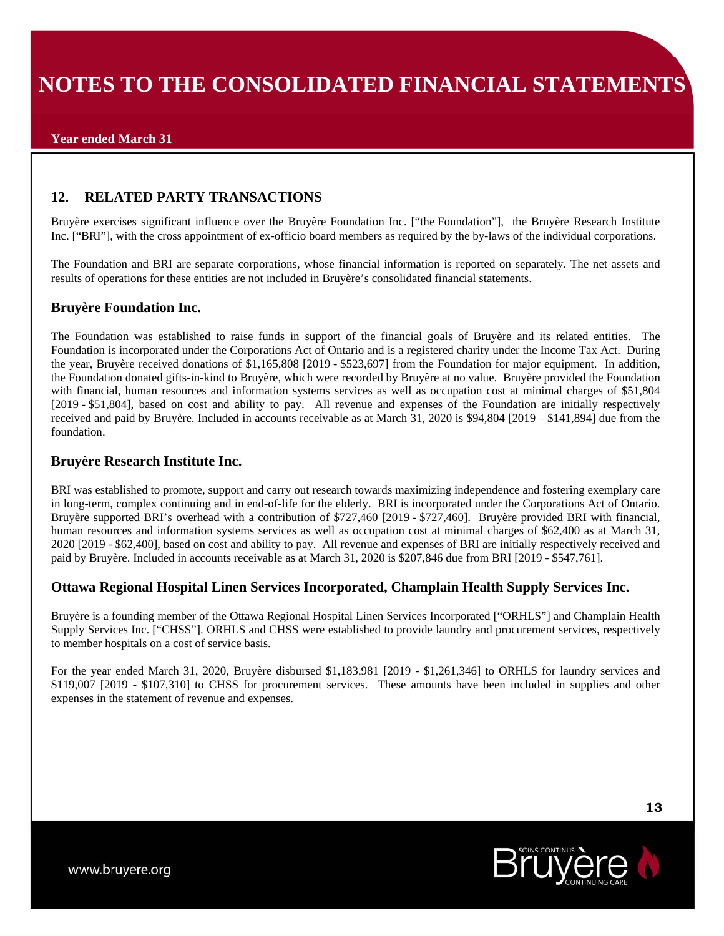# **12. RELATED PARTY TRANSACTIONS**

Bruyère exercises significant influence over the Bruyère Foundation Inc. ["the Foundation"], the Bruyère Research Institute Inc. ["BRI"], with the cross appointment of ex-officio board members as required by the by-laws of the individual corporations.

The Foundation and BRI are separate corporations, whose financial information is reported on separately. The net assets and results of operations for these entities are not included in Bruyère's consolidated financial statements.

## **Bruyère Foundation Inc.**

The Foundation was established to raise funds in support of the financial goals of Bruyère and its related entities. The Foundation is incorporated under the Corporations Act of Ontario and is a registered charity under the Income Tax Act. During the year, Bruyère received donations of \$1,165,808 [2019 - \$523,697] from the Foundation for major equipment. In addition, the Foundation donated gifts-in-kind to Bruyère, which were recorded by Bruyère at no value. Bruyère provided the Foundation with financial, human resources and information systems services as well as occupation cost at minimal charges of \$51,804 [2019 - \$51,804], based on cost and ability to pay. All revenue and expenses of the Foundation are initially respectively received and paid by Bruyère. Included in accounts receivable as at March 31, 2020 is \$94,804 [2019 – \$141,894] due from the foundation.

## **Bruyère Research Institute Inc.**

BRI was established to promote, support and carry out research towards maximizing independence and fostering exemplary care in long-term, complex continuing and in end-of-life for the elderly. BRI is incorporated under the Corporations Act of Ontario. Bruyère supported BRI's overhead with a contribution of \$727,460 [2019 - \$727,460]. Bruyère provided BRI with financial, human resources and information systems services as well as occupation cost at minimal charges of \$62,400 as at March 31, 2020 [2019 - \$62,400], based on cost and ability to pay. All revenue and expenses of BRI are initially respectively received and paid by Bruyère. Included in accounts receivable as at March 31, 2020 is \$207,846 due from BRI [2019 - \$547,761].

## **Ottawa Regional Hospital Linen Services Incorporated, Champlain Health Supply Services Inc.**

Bruyère is a founding member of the Ottawa Regional Hospital Linen Services Incorporated ["ORHLS"] and Champlain Health Supply Services Inc. ["CHSS"]. ORHLS and CHSS were established to provide laundry and procurement services, respectively to member hospitals on a cost of service basis.

For the year ended March 31, 2020, Bruyère disbursed \$1,183,981 [2019 - \$1,261,346] to ORHLS for laundry services and \$119,007 [2019 - \$107,310] to CHSS for procurement services. These amounts have been included in supplies and other expenses in the statement of revenue and expenses.

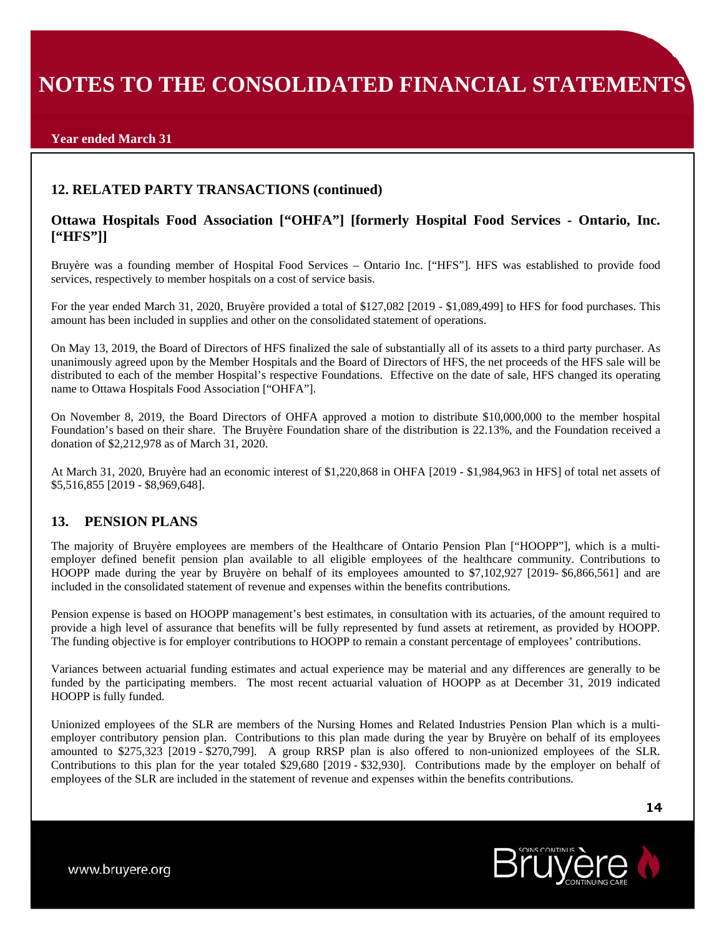### **Year ended March 31**

# **12. RELATED PARTY TRANSACTIONS (continued)**

# **Ottawa Hospitals Food Association ["OHFA"] [formerly Hospital Food Services - Ontario, Inc. ["HFS"]]**

Bruyère was a founding member of Hospital Food Services – Ontario Inc. ["HFS"]. HFS was established to provide food services, respectively to member hospitals on a cost of service basis.

For the year ended March 31, 2020, Bruyère provided a total of \$127,082 [2019 - \$1,089,499] to HFS for food purchases. This amount has been included in supplies and other on the consolidated statement of operations.

On May 13, 2019, the Board of Directors of HFS finalized the sale of substantially all of its assets to a third party purchaser. As unanimously agreed upon by the Member Hospitals and the Board of Directors of HFS, the net proceeds of the HFS sale will be distributed to each of the member Hospital's respective Foundations. Effective on the date of sale, HFS changed its operating name to Ottawa Hospitals Food Association ["OHFA"].

On November 8, 2019, the Board Directors of OHFA approved a motion to distribute \$10,000,000 to the member hospital Foundation's based on their share. The Bruyère Foundation share of the distribution is 22.13%, and the Foundation received a donation of \$2,212,978 as of March 31, 2020.

At March 31, 2020, Bruyère had an economic interest of \$1,220,868 in OHFA [2019 - \$1,984,963 in HFS] of total net assets of \$5,516,855 [2019 - \$8,969,648].

## **13. PENSION PLANS**

The majority of Bruyère employees are members of the Healthcare of Ontario Pension Plan ["HOOPP"], which is a multiemployer defined benefit pension plan available to all eligible employees of the healthcare community. Contributions to HOOPP made during the year by Bruyère on behalf of its employees amounted to \$7,102,927 [2019- \$6,866,561] and are included in the consolidated statement of revenue and expenses within the benefits contributions.

Pension expense is based on HOOPP management's best estimates, in consultation with its actuaries, of the amount required to provide a high level of assurance that benefits will be fully represented by fund assets at retirement, as provided by HOOPP. The funding objective is for employer contributions to HOOPP to remain a constant percentage of employees' contributions.

Variances between actuarial funding estimates and actual experience may be material and any differences are generally to be funded by the participating members. The most recent actuarial valuation of HOOPP as at December 31, 2019 indicated HOOPP is fully funded.

Unionized employees of the SLR are members of the Nursing Homes and Related Industries Pension Plan which is a multiemployer contributory pension plan. Contributions to this plan made during the year by Bruyère on behalf of its employees amounted to \$275,323 [2019 - \$270,799]. A group RRSP plan is also offered to non-unionized employees of the SLR. Contributions to this plan for the year totaled \$29,680 [2019 - \$32,930]. Contributions made by the employer on behalf of employees of the SLR are included in the statement of revenue and expenses within the benefits contributions.

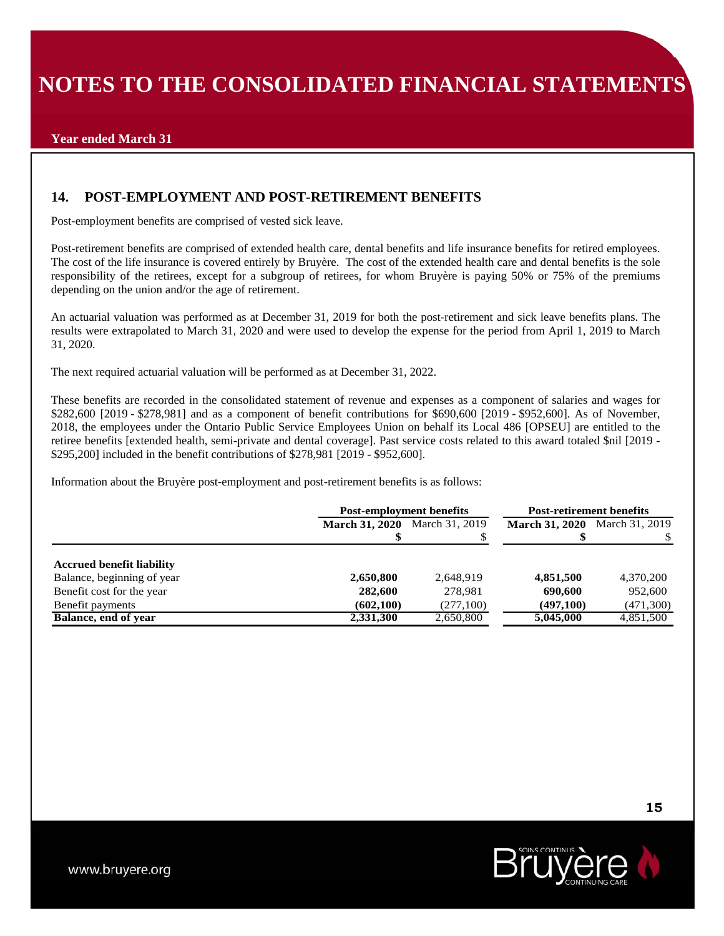## **Year ended March 31**

## **14. POST-EMPLOYMENT AND POST-RETIREMENT BENEFITS**

Post-employment benefits are comprised of vested sick leave.

Post-retirement benefits are comprised of extended health care, dental benefits and life insurance benefits for retired employees. The cost of the life insurance is covered entirely by Bruyère. The cost of the extended health care and dental benefits is the sole responsibility of the retirees, except for a subgroup of retirees, for whom Bruyère is paying 50% or 75% of the premiums depending on the union and/or the age of retirement.

An actuarial valuation was performed as at December 31, 2019 for both the post-retirement and sick leave benefits plans. The results were extrapolated to March 31, 2020 and were used to develop the expense for the period from April 1, 2019 to March 31, 2020.

The next required actuarial valuation will be performed as at December 31, 2022.

These benefits are recorded in the consolidated statement of revenue and expenses as a component of salaries and wages for \$282,600 [2019 - \$278,981] and as a component of benefit contributions for \$690,600 [2019 - \$952,600]. As of November, 2018, the employees under the Ontario Public Service Employees Union on behalf its Local 486 [OPSEU] are entitled to the retiree benefits [extended health, semi-private and dental coverage]. Past service costs related to this award totaled \$nil [2019 - \$295,200] included in the benefit contributions of \$278,981 [2019 - \$952,600].

Information about the Bruyère post-employment and post-retirement benefits is as follows:

|                                  | <b>Post-employment benefits</b> |                | <b>Post-retirement benefits</b>      |            |
|----------------------------------|---------------------------------|----------------|--------------------------------------|------------|
|                                  | <b>March 31, 2020</b>           | March 31, 2019 | <b>March 31, 2020</b> March 31, 2019 |            |
|                                  |                                 |                |                                      |            |
| <b>Accrued benefit liability</b> |                                 |                |                                      |            |
| Balance, beginning of year       | 2,650,800                       | 2,648,919      | 4,851,500                            | 4,370,200  |
| Benefit cost for the year        | 282,600                         | 278.981        | 690,600                              | 952,600    |
| Benefit payments                 | (602, 100)                      | (277,100)      | (497,100)                            | (471, 300) |
| Balance, end of year             | 2,331,300                       | 2,650,800      | 5,045,000                            | 4,851,500  |

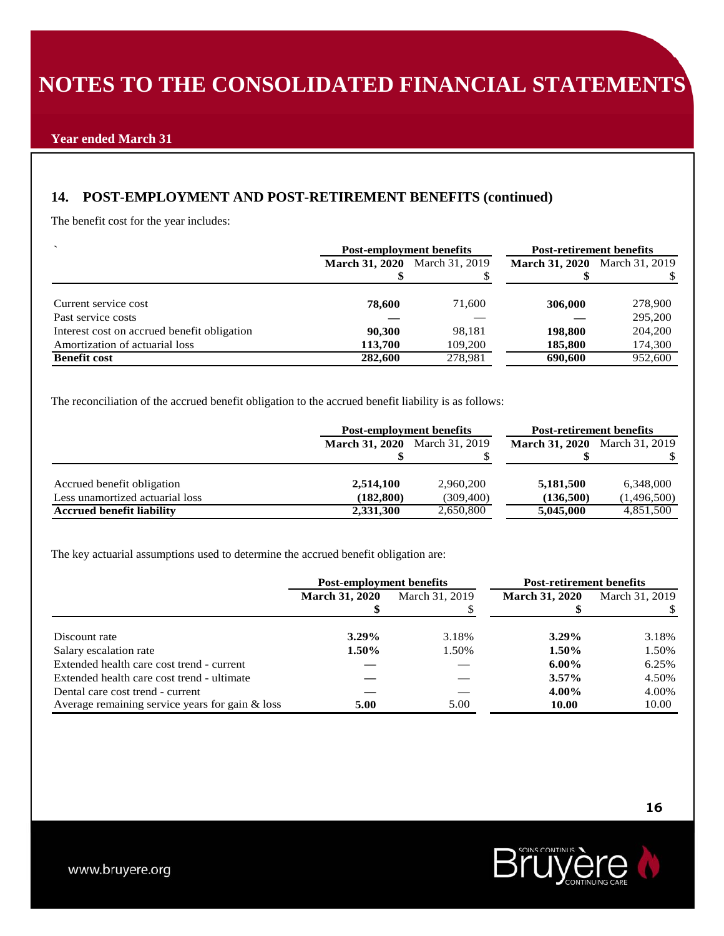# **14. POST-EMPLOYMENT AND POST-RETIREMENT BENEFITS (continued)**

The benefit cost for the year includes:

| $\overline{\phantom{0}}$                    | <b>Post-employment benefits</b> |                | <b>Post-retirement benefits</b>      |         |
|---------------------------------------------|---------------------------------|----------------|--------------------------------------|---------|
|                                             | <b>March 31, 2020</b>           | March 31, 2019 | <b>March 31, 2020</b> March 31, 2019 |         |
|                                             |                                 |                |                                      |         |
| Current service cost                        | 78,600                          | 71.600         | 306,000                              | 278,900 |
| Past service costs                          |                                 |                |                                      | 295,200 |
| Interest cost on accrued benefit obligation | 90,300                          | 98,181         | 198,800                              | 204,200 |
| Amortization of actuarial loss              | 113,700                         | 109,200        | 185,800                              | 174,300 |
| <b>Benefit cost</b>                         | 282,600                         | 278,981        | 690,600                              | 952,600 |

The reconciliation of the accrued benefit obligation to the accrued benefit liability is as follows:

|                                  | <b>Post-employment benefits</b>      |            | <b>Post-retirement benefits</b>      |             |
|----------------------------------|--------------------------------------|------------|--------------------------------------|-------------|
|                                  | <b>March 31, 2020</b> March 31, 2019 |            | <b>March 31, 2020</b> March 31, 2019 |             |
|                                  |                                      |            |                                      |             |
| Accrued benefit obligation       | 2,514,100                            | 2,960,200  | 5,181,500                            | 6,348,000   |
| Less unamortized actuarial loss  | (182, 800)                           | (309, 400) | (136,500)                            | (1,496,500) |
| <b>Accrued benefit liability</b> | 2,331,300                            | 2,650,800  | 5,045,000                            | 4,851,500   |

The key actuarial assumptions used to determine the accrued benefit obligation are:

|                                                 | <b>Post-employment benefits</b> |                | <b>Post-retirement benefits</b> |                |
|-------------------------------------------------|---------------------------------|----------------|---------------------------------|----------------|
|                                                 | <b>March 31, 2020</b>           | March 31, 2019 |                                 | March 31, 2019 |
|                                                 |                                 |                |                                 |                |
| Discount rate                                   | $3.29\%$                        | 3.18%          | $3.29\%$                        | 3.18%          |
| Salary escalation rate                          | $1.50\%$                        | 1.50%          | 1.50%                           | 1.50%          |
| Extended health care cost trend - current       |                                 |                | $6.00\%$                        | 6.25%          |
| Extended health care cost trend - ultimate      |                                 |                | $3.57\%$                        | 4.50%          |
| Dental care cost trend - current                |                                 |                | 4.00%                           | 4.00%          |
| Average remaining service years for gain & loss | 5.00                            | 5.00           | 10.00                           | 10.00          |

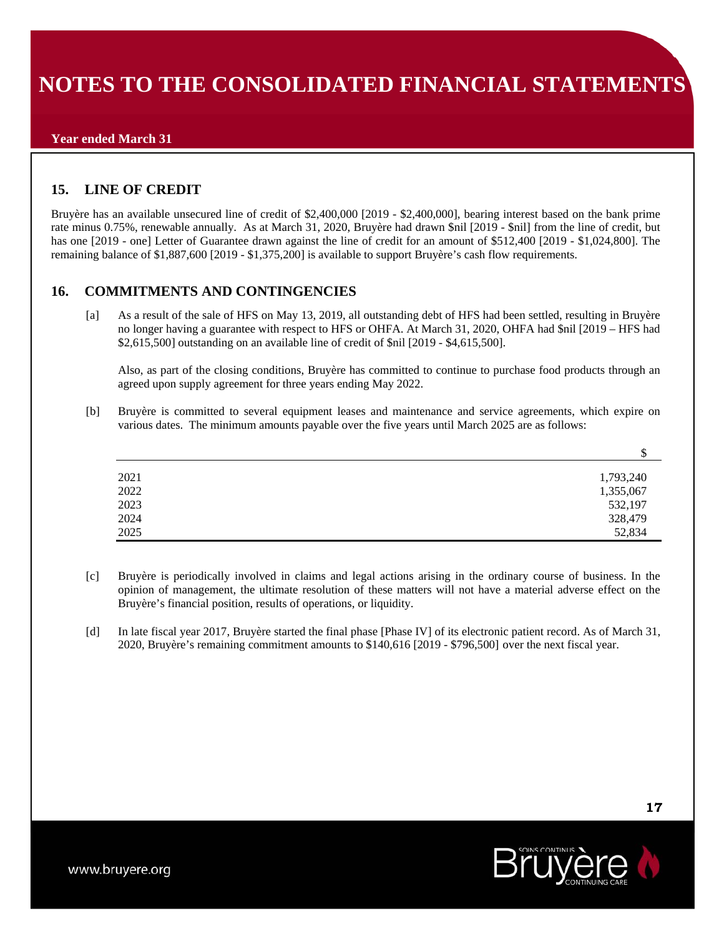### **Year ended March 31**

# **15. LINE OF CREDIT**

Bruyère has an available unsecured line of credit of \$2,400,000 [2019 - \$2,400,000], bearing interest based on the bank prime rate minus 0.75%, renewable annually. As at March 31, 2020, Bruyère had drawn \$nil [2019 - \$nil] from the line of credit, but has one [2019 - one] Letter of Guarantee drawn against the line of credit for an amount of \$512,400 [2019 - \$1,024,800]. The remaining balance of \$1,887,600 [2019 - \$1,375,200] is available to support Bruyère's cash flow requirements.

## **16. COMMITMENTS AND CONTINGENCIES**

[a] As a result of the sale of HFS on May 13, 2019, all outstanding debt of HFS had been settled, resulting in Bruyère no longer having a guarantee with respect to HFS or OHFA. At March 31, 2020, OHFA had \$nil [2019 – HFS had \$2,615,500] outstanding on an available line of credit of \$nil [2019 - \$4,615,500].

Also, as part of the closing conditions, Bruyère has committed to continue to purchase food products through an agreed upon supply agreement for three years ending May 2022.

[b] Bruyère is committed to several equipment leases and maintenance and service agreements, which expire on various dates. The minimum amounts payable over the five years until March 2025 are as follows:

|      | $\mathbf{\mathbf{\Psi}}$ |
|------|--------------------------|
|      |                          |
| 2021 | 1,793,240                |
| 2022 | 1,355,067                |
| 2023 | 532,197                  |
| 2024 | 328,479                  |
| 2025 | 52,834                   |

- [c] Bruyère is periodically involved in claims and legal actions arising in the ordinary course of business. In the opinion of management, the ultimate resolution of these matters will not have a material adverse effect on the Bruyère's financial position, results of operations, or liquidity.
- [d] In late fiscal year 2017, Bruyère started the final phase [Phase IV] of its electronic patient record. As of March 31, 2020, Bruyère's remaining commitment amounts to \$140,616 [2019 - \$796,500] over the next fiscal year.



\$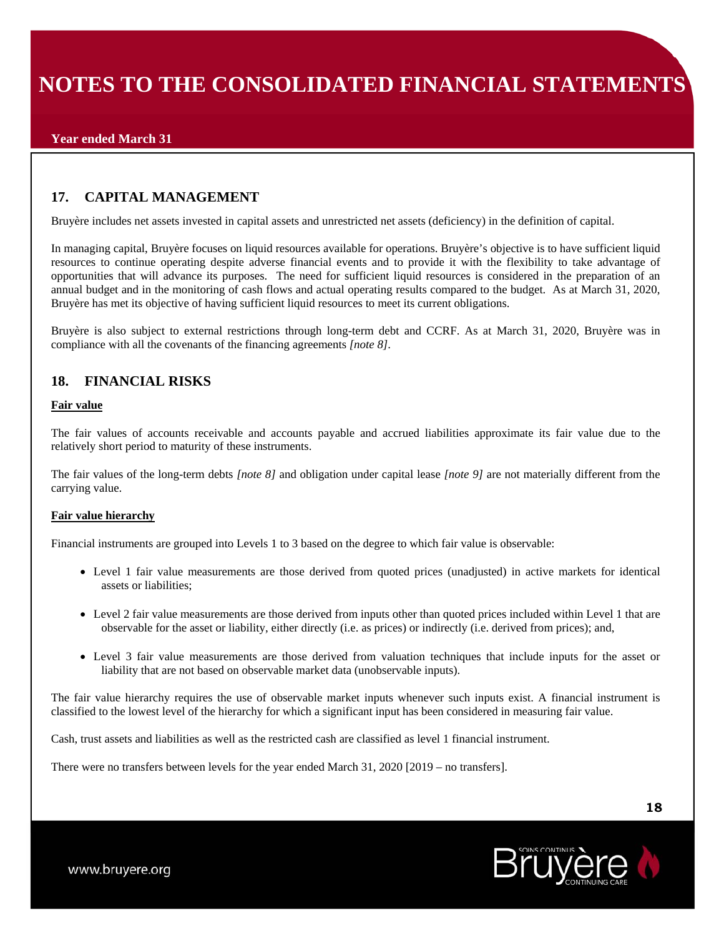# **17. CAPITAL MANAGEMENT**

Bruyère includes net assets invested in capital assets and unrestricted net assets (deficiency) in the definition of capital.

In managing capital, Bruyère focuses on liquid resources available for operations. Bruyère's objective is to have sufficient liquid resources to continue operating despite adverse financial events and to provide it with the flexibility to take advantage of opportunities that will advance its purposes. The need for sufficient liquid resources is considered in the preparation of an annual budget and in the monitoring of cash flows and actual operating results compared to the budget. As at March 31, 2020, Bruyère has met its objective of having sufficient liquid resources to meet its current obligations.

Bruyère is also subject to external restrictions through long-term debt and CCRF. As at March 31, 2020, Bruyère was in compliance with all the covenants of the financing agreements *[note 8]*.

# **18. FINANCIAL RISKS**

#### **Fair value**

The fair values of accounts receivable and accounts payable and accrued liabilities approximate its fair value due to the relatively short period to maturity of these instruments.

The fair values of the long-term debts *[note 8]* and obligation under capital lease *[note 9]* are not materially different from the carrying value.

### **Fair value hierarchy**

Financial instruments are grouped into Levels 1 to 3 based on the degree to which fair value is observable:

- Level 1 fair value measurements are those derived from quoted prices (unadjusted) in active markets for identical assets or liabilities;
- Level 2 fair value measurements are those derived from inputs other than quoted prices included within Level 1 that are observable for the asset or liability, either directly (i.e. as prices) or indirectly (i.e. derived from prices); and,
- Level 3 fair value measurements are those derived from valuation techniques that include inputs for the asset or liability that are not based on observable market data (unobservable inputs).

The fair value hierarchy requires the use of observable market inputs whenever such inputs exist. A financial instrument is classified to the lowest level of the hierarchy for which a significant input has been considered in measuring fair value.

Cash, trust assets and liabilities as well as the restricted cash are classified as level 1 financial instrument.

There were no transfers between levels for the year ended March 31, 2020 [2019 – no transfers].

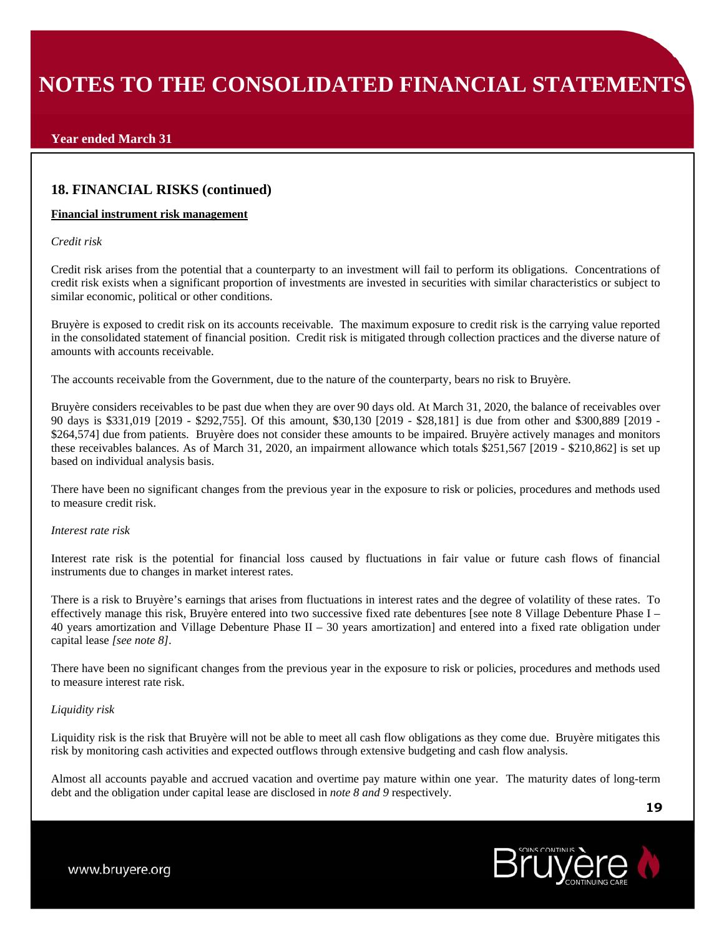### **Year ended March 31**

### **18. FINANCIAL RISKS (continued)**

#### **Financial instrument risk management**

#### *Credit risk*

Credit risk arises from the potential that a counterparty to an investment will fail to perform its obligations. Concentrations of credit risk exists when a significant proportion of investments are invested in securities with similar characteristics or subject to similar economic, political or other conditions.

Bruyère is exposed to credit risk on its accounts receivable. The maximum exposure to credit risk is the carrying value reported in the consolidated statement of financial position. Credit risk is mitigated through collection practices and the diverse nature of amounts with accounts receivable.

The accounts receivable from the Government, due to the nature of the counterparty, bears no risk to Bruyère.

Bruyère considers receivables to be past due when they are over 90 days old. At March 31, 2020, the balance of receivables over 90 days is \$331,019 [2019 - \$292,755]. Of this amount, \$30,130 [2019 - \$28,181] is due from other and \$300,889 [2019 - \$264,574] due from patients. Bruyère does not consider these amounts to be impaired. Bruyère actively manages and monitors these receivables balances. As of March 31, 2020, an impairment allowance which totals \$251,567 [2019 - \$210,862] is set up based on individual analysis basis.

There have been no significant changes from the previous year in the exposure to risk or policies, procedures and methods used to measure credit risk.

#### *Interest rate risk*

Interest rate risk is the potential for financial loss caused by fluctuations in fair value or future cash flows of financial instruments due to changes in market interest rates.

There is a risk to Bruyère's earnings that arises from fluctuations in interest rates and the degree of volatility of these rates. To effectively manage this risk, Bruyère entered into two successive fixed rate debentures [see note 8 Village Debenture Phase I – 40 years amortization and Village Debenture Phase  $II - 30$  years amortization] and entered into a fixed rate obligation under capital lease *[see note 8]*.

There have been no significant changes from the previous year in the exposure to risk or policies, procedures and methods used to measure interest rate risk.

#### *Liquidity risk*

Liquidity risk is the risk that Bruyère will not be able to meet all cash flow obligations as they come due. Bruyère mitigates this risk by monitoring cash activities and expected outflows through extensive budgeting and cash flow analysis.

Almost all accounts payable and accrued vacation and overtime pay mature within one year. The maturity dates of long-term debt and the obligation under capital lease are disclosed in *note 8 and 9* respectively*.*

**19**